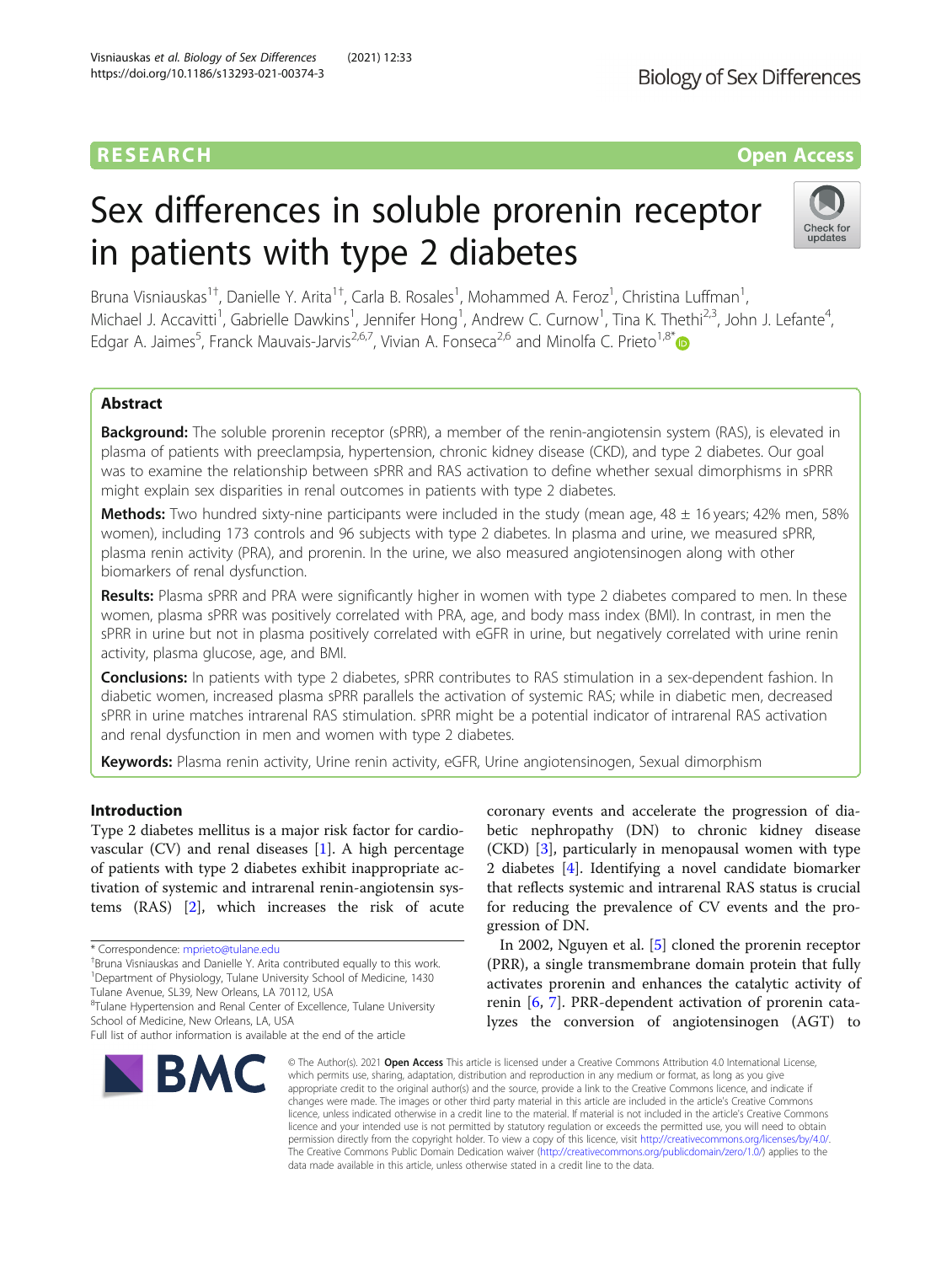# RESEARCH **RESEARCH CONSUMING THE CONSUMING THE CONSUMING TENS**

# Sex differences in soluble prorenin receptor in patients with type 2 diabetes



Bruna Visniauskas<sup>1†</sup>, Danielle Y. Arita<sup>1†</sup>, Carla B. Rosales<sup>1</sup>, Mohammed A. Feroz<sup>1</sup>, Christina Luffman<sup>1</sup> , Michael J. Accavitti<sup>1</sup>, Gabrielle Dawkins<sup>1</sup>, Jennifer Hong<sup>1</sup>, Andrew C. Curnow<sup>1</sup>, Tina K. Thethi<sup>2,3</sup>, John J. Lefante<sup>4</sup> , Edgar A. Jaimes<sup>5</sup>, Franck Mauvais-Jarvis<sup>2,6,7</sup>, Vivian A. Fonseca<sup>2,6</sup> and Minolfa C. Prieto<sup>1,8\*</sup>

# Abstract

**Background:** The soluble prorenin receptor (sPRR), a member of the renin-angiotensin system (RAS), is elevated in plasma of patients with preeclampsia, hypertension, chronic kidney disease (CKD), and type 2 diabetes. Our goal was to examine the relationship between sPRR and RAS activation to define whether sexual dimorphisms in sPRR might explain sex disparities in renal outcomes in patients with type 2 diabetes.

Methods: Two hundred sixty-nine participants were included in the study (mean age, 48 ± 16 years; 42% men, 58% women), including 173 controls and 96 subjects with type 2 diabetes. In plasma and urine, we measured sPRR, plasma renin activity (PRA), and prorenin. In the urine, we also measured angiotensinogen along with other biomarkers of renal dysfunction.

Results: Plasma sPRR and PRA were significantly higher in women with type 2 diabetes compared to men. In these women, plasma sPRR was positively correlated with PRA, age, and body mass index (BMI). In contrast, in men the sPRR in urine but not in plasma positively correlated with eGFR in urine, but negatively correlated with urine renin activity, plasma glucose, age, and BMI.

**Conclusions:** In patients with type 2 diabetes, sPRR contributes to RAS stimulation in a sex-dependent fashion. In diabetic women, increased plasma sPRR parallels the activation of systemic RAS; while in diabetic men, decreased sPRR in urine matches intrarenal RAS stimulation. sPRR might be a potential indicator of intrarenal RAS activation and renal dysfunction in men and women with type 2 diabetes.

Keywords: Plasma renin activity, Urine renin activity, eGFR, Urine angiotensinogen, Sexual dimorphism

# Introduction

Type 2 diabetes mellitus is a major risk factor for cardiovascular  $(CV)$  and renal diseases [[1\]](#page-10-0). A high percentage of patients with type 2 diabetes exhibit inappropriate activation of systemic and intrarenal renin-angiotensin systems (RAS) [\[2](#page-10-0)], which increases the risk of acute

<sup>+</sup>Bruna Visniauskas and Danielle Y. Arita contributed equally to this work. <sup>1</sup>Department of Physiology, Tulane University School of Medicine, 1430 Tulane Avenue, SL39, New Orleans, LA 70112, USA

<sup>8</sup>Tulane Hypertension and Renal Center of Excellence, Tulane University School of Medicine, New Orleans, LA, USA

Full list of author information is available at the end of the article



coronary events and accelerate the progression of diabetic nephropathy (DN) to chronic kidney disease (CKD) [\[3](#page-10-0)], particularly in menopausal women with type 2 diabetes [[4\]](#page-10-0). Identifying a novel candidate biomarker that reflects systemic and intrarenal RAS status is crucial for reducing the prevalence of CV events and the progression of DN.

In 2002, Nguyen et al. [\[5](#page-10-0)] cloned the prorenin receptor (PRR), a single transmembrane domain protein that fully activates prorenin and enhances the catalytic activity of renin [[6,](#page-10-0) [7](#page-10-0)]. PRR-dependent activation of prorenin catalyzes the conversion of angiotensinogen (AGT) to

© The Author(s), 2021 **Open Access** This article is licensed under a Creative Commons Attribution 4.0 International License, which permits use, sharing, adaptation, distribution and reproduction in any medium or format, as long as you give appropriate credit to the original author(s) and the source, provide a link to the Creative Commons licence, and indicate if changes were made. The images or other third party material in this article are included in the article's Creative Commons licence, unless indicated otherwise in a credit line to the material. If material is not included in the article's Creative Commons licence and your intended use is not permitted by statutory regulation or exceeds the permitted use, you will need to obtain permission directly from the copyright holder. To view a copy of this licence, visit [http://creativecommons.org/licenses/by/4.0/.](http://creativecommons.org/licenses/by/4.0/) The Creative Commons Public Domain Dedication waiver [\(http://creativecommons.org/publicdomain/zero/1.0/](http://creativecommons.org/publicdomain/zero/1.0/)) applies to the data made available in this article, unless otherwise stated in a credit line to the data.

<sup>\*</sup> Correspondence: [mprieto@tulane.edu](mailto:mprieto@tulane.edu) †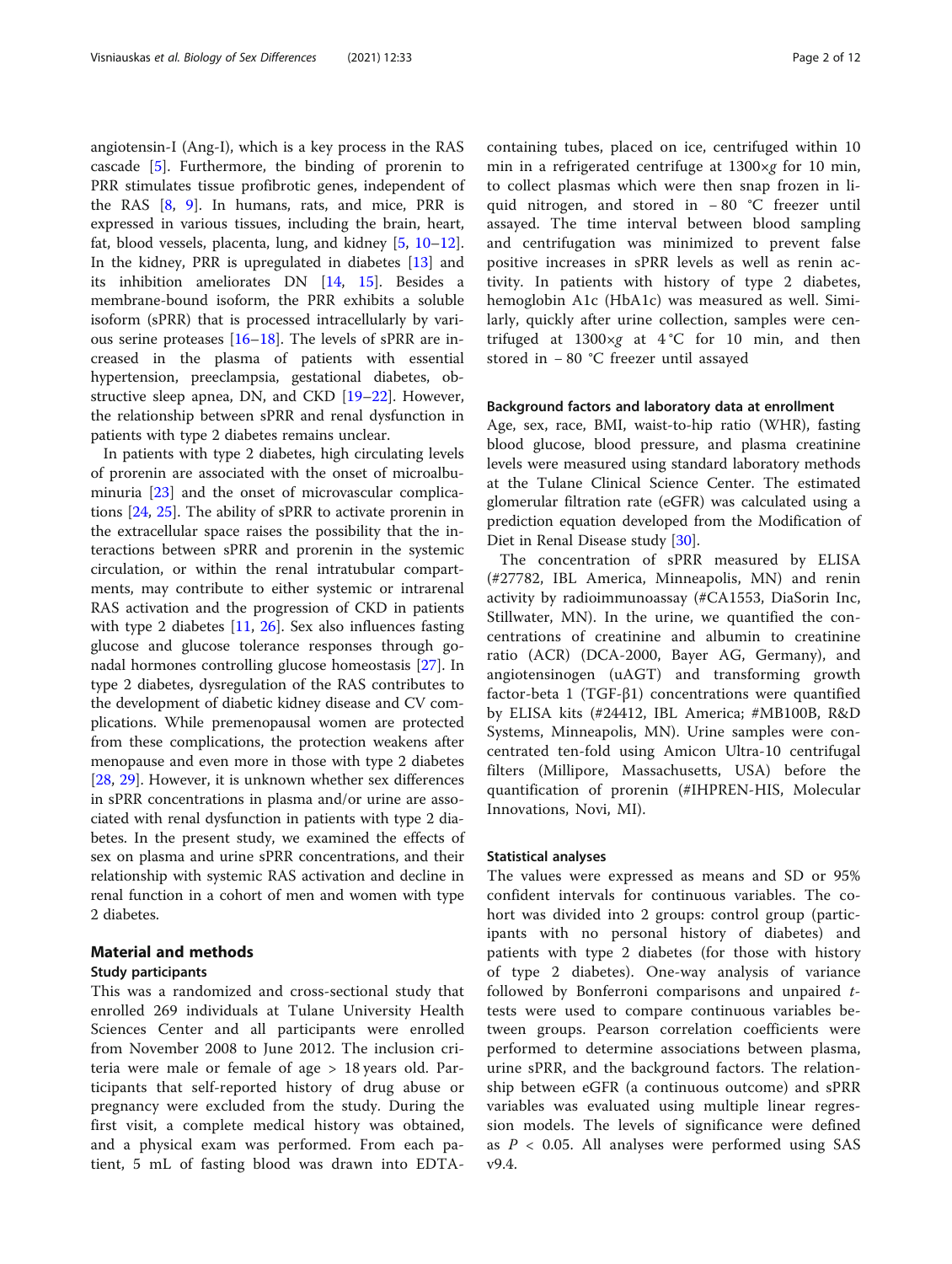angiotensin-I (Ang-I), which is a key process in the RAS cascade [\[5](#page-10-0)]. Furthermore, the binding of prorenin to PRR stimulates tissue profibrotic genes, independent of the RAS  $[8, 9]$  $[8, 9]$  $[8, 9]$  $[8, 9]$  $[8, 9]$ . In humans, rats, and mice, PRR is expressed in various tissues, including the brain, heart, fat, blood vessels, placenta, lung, and kidney [[5,](#page-10-0) [10](#page-10-0)–[12](#page-10-0)]. In the kidney, PRR is upregulated in diabetes [\[13](#page-10-0)] and its inhibition ameliorates DN [[14,](#page-10-0) [15](#page-10-0)]. Besides a membrane-bound isoform, the PRR exhibits a soluble isoform (sPRR) that is processed intracellularly by various serine proteases [[16](#page-10-0)–[18](#page-10-0)]. The levels of sPRR are increased in the plasma of patients with essential hypertension, preeclampsia, gestational diabetes, obstructive sleep apnea, DN, and CKD [\[19](#page-10-0)–[22\]](#page-10-0). However, the relationship between sPRR and renal dysfunction in patients with type 2 diabetes remains unclear.

In patients with type 2 diabetes, high circulating levels of prorenin are associated with the onset of microalbuminuria [\[23](#page-10-0)] and the onset of microvascular complications [[24,](#page-10-0) [25\]](#page-10-0). The ability of sPRR to activate prorenin in the extracellular space raises the possibility that the interactions between sPRR and prorenin in the systemic circulation, or within the renal intratubular compartments, may contribute to either systemic or intrarenal RAS activation and the progression of CKD in patients with type 2 diabetes [\[11](#page-10-0), [26\]](#page-10-0). Sex also influences fasting glucose and glucose tolerance responses through gonadal hormones controlling glucose homeostasis [[27](#page-10-0)]. In type 2 diabetes, dysregulation of the RAS contributes to the development of diabetic kidney disease and CV complications. While premenopausal women are protected from these complications, the protection weakens after menopause and even more in those with type 2 diabetes [[28,](#page-10-0) [29\]](#page-10-0). However, it is unknown whether sex differences in sPRR concentrations in plasma and/or urine are associated with renal dysfunction in patients with type 2 diabetes. In the present study, we examined the effects of sex on plasma and urine sPRR concentrations, and their relationship with systemic RAS activation and decline in renal function in a cohort of men and women with type 2 diabetes.

# Material and methods

## Study participants

This was a randomized and cross-sectional study that enrolled 269 individuals at Tulane University Health Sciences Center and all participants were enrolled from November 2008 to June 2012. The inclusion criteria were male or female of age > 18 years old. Participants that self-reported history of drug abuse or pregnancy were excluded from the study. During the first visit, a complete medical history was obtained, and a physical exam was performed. From each patient, 5 mL of fasting blood was drawn into EDTA- containing tubes, placed on ice, centrifuged within 10 min in a refrigerated centrifuge at  $1300 \times g$  for 10 min, to collect plasmas which were then snap frozen in liquid nitrogen, and stored in − 80 °C freezer until assayed. The time interval between blood sampling and centrifugation was minimized to prevent false positive increases in sPRR levels as well as renin activity. In patients with history of type 2 diabetes, hemoglobin A1c (HbA1c) was measured as well. Similarly, quickly after urine collection, samples were centrifuged at  $1300 \times g$  at  $4^{\circ}$ C for 10 min, and then stored in − 80 °C freezer until assayed

#### Background factors and laboratory data at enrollment

Age, sex, race, BMI, waist-to-hip ratio (WHR), fasting blood glucose, blood pressure, and plasma creatinine levels were measured using standard laboratory methods at the Tulane Clinical Science Center. The estimated glomerular filtration rate (eGFR) was calculated using a prediction equation developed from the Modification of Diet in Renal Disease study [\[30\]](#page-10-0).

The concentration of sPRR measured by ELISA (#27782, IBL America, Minneapolis, MN) and renin activity by radioimmunoassay (#CA1553, DiaSorin Inc, Stillwater, MN). In the urine, we quantified the concentrations of creatinine and albumin to creatinine ratio (ACR) (DCA-2000, Bayer AG, Germany), and angiotensinogen (uAGT) and transforming growth factor-beta 1 (TGF-β1) concentrations were quantified by ELISA kits (#24412, IBL America; #MB100B, R&D Systems, Minneapolis, MN). Urine samples were concentrated ten-fold using Amicon Ultra-10 centrifugal filters (Millipore, Massachusetts, USA) before the quantification of prorenin (#IHPREN-HIS, Molecular Innovations, Novi, MI).

#### Statistical analyses

The values were expressed as means and SD or 95% confident intervals for continuous variables. The cohort was divided into 2 groups: control group (participants with no personal history of diabetes) and patients with type 2 diabetes (for those with history of type 2 diabetes). One-way analysis of variance followed by Bonferroni comparisons and unpaired ttests were used to compare continuous variables between groups. Pearson correlation coefficients were performed to determine associations between plasma, urine sPRR, and the background factors. The relationship between eGFR (a continuous outcome) and sPRR variables was evaluated using multiple linear regression models. The levels of significance were defined as  $P < 0.05$ . All analyses were performed using SAS v9.4.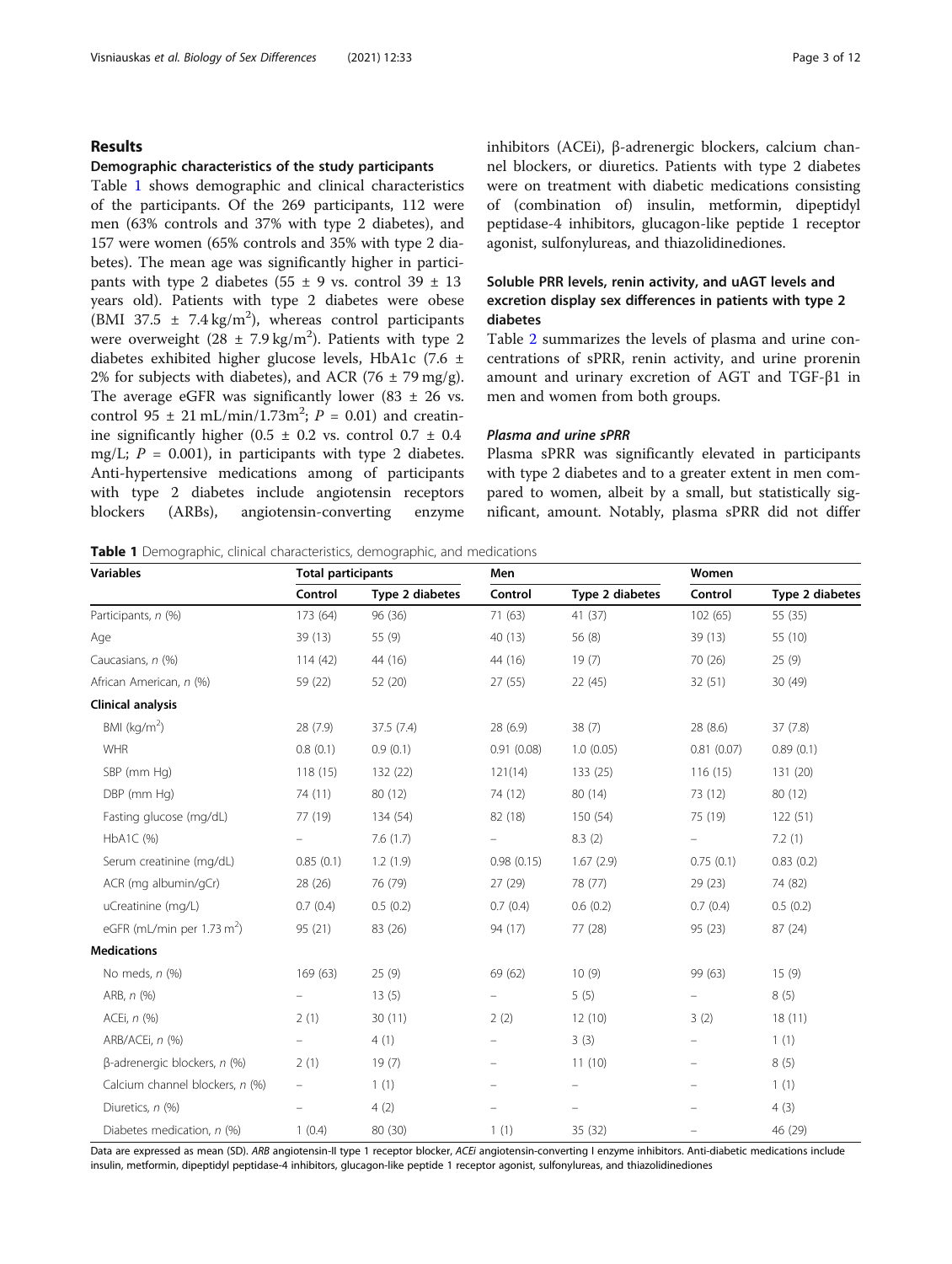# Results

#### Demographic characteristics of the study participants

Table 1 shows demographic and clinical characteristics of the participants. Of the 269 participants, 112 were men (63% controls and 37% with type 2 diabetes), and 157 were women (65% controls and 35% with type 2 diabetes). The mean age was significantly higher in participants with type 2 diabetes (55  $\pm$  9 vs. control 39  $\pm$  13 years old). Patients with type 2 diabetes were obese (BMI 37.5  $\pm$  7.4 kg/m<sup>2</sup>), whereas control participants were overweight  $(28 \pm 7.9 \text{ kg/m}^2)$ . Patients with type 2 diabetes exhibited higher glucose levels, HbA1c (7.6 ± 2% for subjects with diabetes), and ACR (76  $\pm$  79 mg/g). The average eGFR was significantly lower  $(83 \pm 26 \text{ vs.})$ control  $95 \pm 21 \text{ mL/min}/1.73 \text{m}^2$ ;  $P = 0.01$ ) and creatinine significantly higher (0.5  $\pm$  0.2 vs. control 0.7  $\pm$  0.4 mg/L;  $P = 0.001$ ), in participants with type 2 diabetes. Anti-hypertensive medications among of participants with type 2 diabetes include angiotensin receptors blockers (ARBs), angiotensin-converting enzyme inhibitors (ACEi), β-adrenergic blockers, calcium channel blockers, or diuretics. Patients with type 2 diabetes were on treatment with diabetic medications consisting of (combination of) insulin, metformin, dipeptidyl peptidase-4 inhibitors, glucagon-like peptide 1 receptor agonist, sulfonylureas, and thiazolidinediones.

# Soluble PRR levels, renin activity, and uAGT levels and excretion display sex differences in patients with type 2 diabetes

Table [2](#page-3-0) summarizes the levels of plasma and urine concentrations of sPRR, renin activity, and urine prorenin amount and urinary excretion of AGT and TGF-β1 in men and women from both groups.

# Plasma and urine sPRR

Plasma sPRR was significantly elevated in participants with type 2 diabetes and to a greater extent in men compared to women, albeit by a small, but statistically significant, amount. Notably, plasma sPRR did not differ

Table 1 Demographic, clinical characteristics, demographic, and medications

| <b>Variables</b>                       | <b>Total participants</b> |                 | Men                      |                 | Women                    |                 |  |
|----------------------------------------|---------------------------|-----------------|--------------------------|-----------------|--------------------------|-----------------|--|
|                                        | Control                   | Type 2 diabetes | Control                  | Type 2 diabetes | Control                  | Type 2 diabetes |  |
| Participants, n (%)                    | 173 (64)                  | 96 (36)         | 71(63)                   | 41 (37)         | 102(65)                  | 55 (35)         |  |
| Age                                    | 39(13)                    | 55 (9)          | 40 (13)                  | 56 (8)          | 39(13)                   | 55 (10)         |  |
| Caucasians, n (%)                      | 114(42)                   | 44 (16)         | 44 (16)                  | 19(7)           | 70 (26)                  | 25(9)           |  |
| African American, n (%)                | 59 (22)                   | 52 (20)         | 27 (55)                  | 22 (45)         | 32(51)                   | 30 (49)         |  |
| Clinical analysis                      |                           |                 |                          |                 |                          |                 |  |
| BMI ( $kg/m2$ )                        | 28(7.9)                   | 37.5(7.4)       | 28 (6.9)                 | 38(7)           | 28 (8.6)                 | 37(7.8)         |  |
| <b>WHR</b>                             | 0.8(0.1)                  | 0.9(0.1)        | 0.91(0.08)               | 1.0(0.05)       | 0.81(0.07)               | 0.89(0.1)       |  |
| SBP (mm Hg)                            | 118(15)                   | 132 (22)        | 121(14)                  | 133 (25)        | 116(15)                  | 131 (20)        |  |
| DBP (mm Hg)                            | 74 (11)                   | 80 (12)         | 74 (12)                  | 80 (14)         | 73 (12)                  | 80 (12)         |  |
| Fasting glucose (mg/dL)                | 77 (19)                   | 134 (54)        | 82 (18)                  | 150 (54)        | 75 (19)                  | 122(51)         |  |
| HbA1C (%)                              | $\overline{\phantom{0}}$  | 7.6(1.7)        | $\overline{\phantom{0}}$ | 8.3(2)          | $\overline{\phantom{0}}$ | 7.2(1)          |  |
| Serum creatinine (mg/dL)               | 0.85(0.1)                 | 1.2(1.9)        | 0.98(0.15)               | 1.67(2.9)       | 0.75(0.1)                | 0.83(0.2)       |  |
| ACR (mg albumin/gCr)                   | 28 (26)                   | 76 (79)         | 27 (29)                  | 78 (77)         | 29(23)                   | 74 (82)         |  |
| uCreatinine (mg/L)                     | 0.7(0.4)                  | 0.5(0.2)        | 0.7(0.4)                 | 0.6(0.2)        | 0.7(0.4)                 | 0.5(0.2)        |  |
| eGFR (mL/min per 1.73 m <sup>2</sup> ) | 95 (21)                   | 83 (26)         | 94 (17)                  | 77 (28)         | 95 (23)                  | 87 (24)         |  |
| <b>Medications</b>                     |                           |                 |                          |                 |                          |                 |  |
| No meds, $n$ (%)                       | 169 (63)                  | 25(9)           | 69 (62)                  | 10(9)           | 99 (63)                  | 15(9)           |  |
| ARB, n (%)                             | $\overline{\phantom{0}}$  | 13(5)           | -                        | 5(5)            | $\qquad \qquad -$        | 8(5)            |  |
| ACEi, n (%)                            | 2(1)                      | 30(11)          | 2(2)                     | 12(10)          | 3(2)                     | 18(11)          |  |
| ARB/ACEi, n (%)                        | $\overline{\phantom{0}}$  | 4(1)            | $\qquad \qquad -$        | 3(3)            | $\qquad \qquad -$        | 1(1)            |  |
| $\beta$ -adrenergic blockers, n (%)    | 2(1)                      | 19(7)           |                          | 11(10)          |                          | 8(5)            |  |
| Calcium channel blockers, n (%)        | $\overline{\phantom{0}}$  | 1(1)            | -                        |                 | $\overline{\phantom{0}}$ | 1(1)            |  |
| Diuretics, n (%)                       | $\overline{\phantom{0}}$  | 4(2)            |                          |                 |                          | 4(3)            |  |
| Diabetes medication, n (%)             | 1(0.4)                    | 80 (30)         | 1(1)                     | 35 (32)         |                          | 46 (29)         |  |

Data are expressed as mean (SD). ARB angiotensin-II type 1 receptor blocker, ACEi angiotensin-converting I enzyme inhibitors. Anti-diabetic medications include insulin, metformin, dipeptidyl peptidase-4 inhibitors, glucagon-like peptide 1 receptor agonist, sulfonylureas, and thiazolidinediones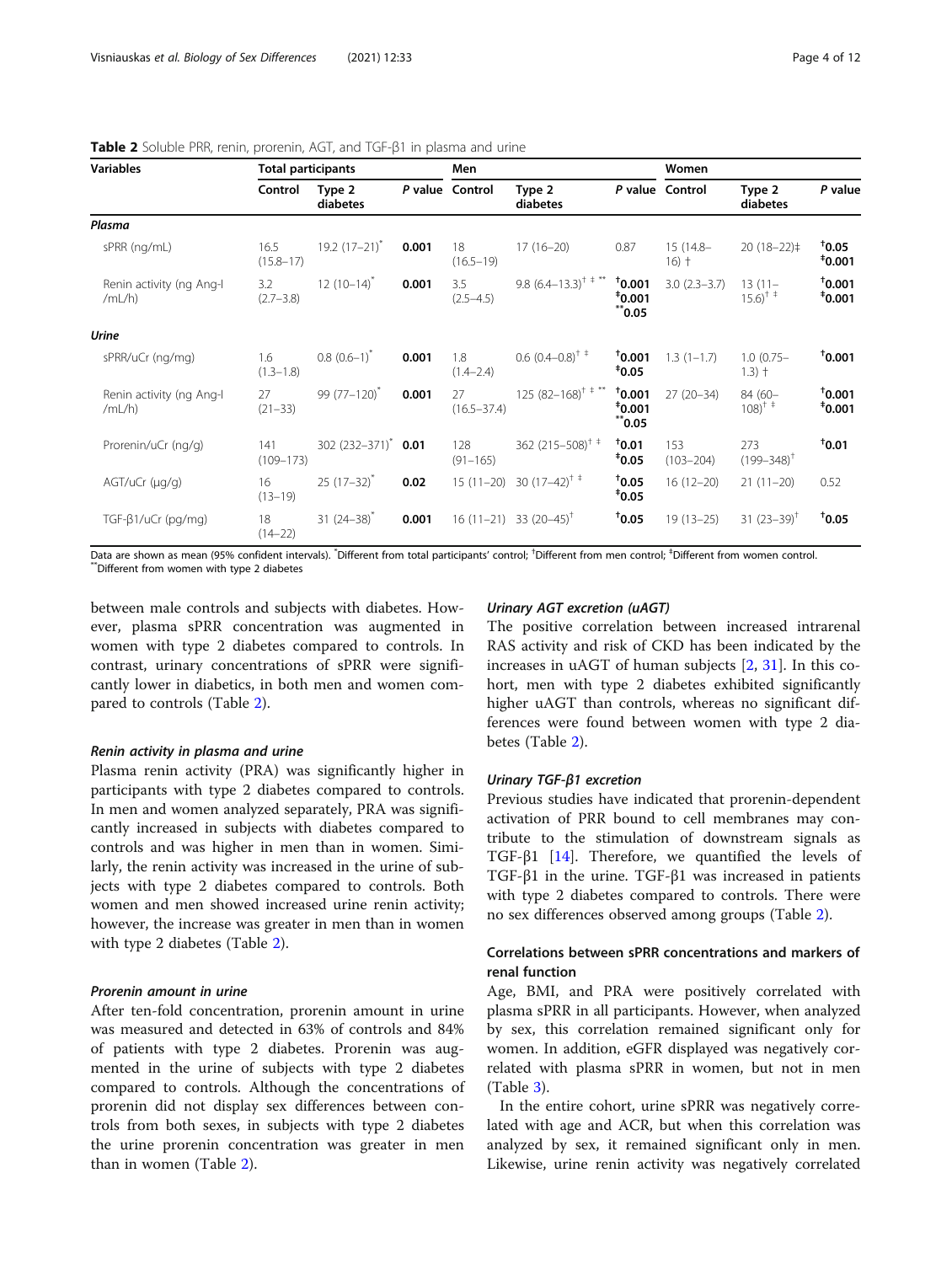| <b>Variables</b>                   |                       | <b>Total participants</b> |       |                       | Men                            |                                    |                      | Women                                          |                                 |  |
|------------------------------------|-----------------------|---------------------------|-------|-----------------------|--------------------------------|------------------------------------|----------------------|------------------------------------------------|---------------------------------|--|
|                                    | Control               | Type 2<br>diabetes        |       | P value Control       | Type 2<br>diabetes             |                                    | P value Control      | Type 2<br>diabetes                             | P value                         |  |
| Plasma                             |                       |                           |       |                       |                                |                                    |                      |                                                |                                 |  |
| sPRR (ng/mL)                       | 16.5<br>$(15.8 - 17)$ | $19.2(17-21)^{*}$         | 0.001 | 18<br>$(16.5 - 19)$   | $17(16-20)$                    | 0.87                               | 15 (14.8-<br>$16) +$ | $20(18-22)$                                    | $\mathbf{t}_{0.05}$<br>$*0.001$ |  |
| Renin activity (ng Ang-I<br>/mL/h) | 3.2<br>$(2.7 - 3.8)$  | $12(10-14)^{*}$           | 0.001 | 3.5<br>$(2.5 - 4.5)$  | 9.8 $(6.4-13.3)^{+ +}$         | $*_{0.001}$<br>$*0.001$<br>0.05 ** | $3.0(2.3-3.7)$       | $13(11 -$<br>$15.6$ <sup>+ +</sup>             | 10.001<br>$*0.001$              |  |
| <b>Urine</b>                       |                       |                           |       |                       |                                |                                    |                      |                                                |                                 |  |
| sPRR/uCr (ng/mg)                   | 1.6<br>$(1.3 - 1.8)$  | $0.8$ $(0.6-1)^{*}$       | 0.001 | 1.8<br>$(1.4 - 2.4)$  | $0.6$ $(0.4-0.8)$ <sup>†</sup> | $*0.001$<br>$*_{0.05}$             | $1.3(1-1.7)$         | $1.0(0.75 -$<br>$1.3$ ) $+$                    | $*_{0.001}$                     |  |
| Renin activity (ng Ang-I<br>/mL/h) | 27<br>$(21 - 33)$     | $99(77-120)^{*}$          | 0.001 | 27<br>$(16.5 - 37.4)$ | $125 (82 - 168)^{+ + **}$      | 10.001<br>$*0.001$<br>0.05 **      | $27(20-34)$          | 84 (60-<br>$108$ <sup>+ <math>\pm</math></sup> | 10.001<br>$*0.001$              |  |
| Prorenin/uCr (ng/g)                | 141<br>$(109 - 173)$  | $302(232 - 371)^*$        | 0.01  | 128<br>$(91 - 165)$   | 362 (215-508) <sup>†</sup>     | $*_{0.01}$<br>$*_{0.05}$           | 153<br>$(103 - 204)$ | 273<br>$(199 - 348)^T$                         | 10.01                           |  |
| AGT/uCr (µg/g)                     | 16<br>$(13 - 19)$     | $25(17-32)^{*}$           | 0.02  | $15(11-20)$           | 30 $(17-42)^{+}$               | $*_{0.05}$<br>$*_{0.05}$           | $16(12-20)$          | $21(11-20)$                                    | 0.52                            |  |
| $TGF-\beta 1/uCr$ (pg/mg)          | 18<br>$(14 - 22)$     | $31(24-38)^{*}$           | 0.001 | $16(11-21)$           | 33 $(20-45)^{\dagger}$         | $*_{0.05}$                         | $19(13-25)$          | 31 $(23-39)$ <sup>†</sup>                      | $*_{0.05}$                      |  |

#### <span id="page-3-0"></span>Table 2 Soluble PRR, renin, prorenin, AGT, and TGF-β1 in plasma and urine

Data are shown as mean (95% confident intervals). \*Different from total participants' control; \*Different from men control; \*Different from women control.<br>\*\*Different from women with type 2 diabetes

between male controls and subjects with diabetes. However, plasma sPRR concentration was augmented in women with type 2 diabetes compared to controls. In contrast, urinary concentrations of sPRR were significantly lower in diabetics, in both men and women compared to controls (Table 2).

#### Renin activity in plasma and urine

Plasma renin activity (PRA) was significantly higher in participants with type 2 diabetes compared to controls. In men and women analyzed separately, PRA was significantly increased in subjects with diabetes compared to controls and was higher in men than in women. Similarly, the renin activity was increased in the urine of subjects with type 2 diabetes compared to controls. Both women and men showed increased urine renin activity; however, the increase was greater in men than in women with type 2 diabetes (Table 2).

# Prorenin amount in urine

After ten-fold concentration, prorenin amount in urine was measured and detected in 63% of controls and 84% of patients with type 2 diabetes. Prorenin was augmented in the urine of subjects with type 2 diabetes compared to controls. Although the concentrations of prorenin did not display sex differences between controls from both sexes, in subjects with type 2 diabetes the urine prorenin concentration was greater in men than in women (Table 2).

## Urinary AGT excretion (uAGT)

The positive correlation between increased intrarenal RAS activity and risk of CKD has been indicated by the increases in uAGT of human subjects [[2,](#page-10-0) [31](#page-10-0)]. In this cohort, men with type 2 diabetes exhibited significantly higher uAGT than controls, whereas no significant differences were found between women with type 2 diabetes (Table 2).

#### Urinary TGF-β1 excretion

Previous studies have indicated that prorenin-dependent activation of PRR bound to cell membranes may contribute to the stimulation of downstream signals as TGF-β1 [[14\]](#page-10-0). Therefore, we quantified the levels of TGF-β1 in the urine. TGF-β1 was increased in patients with type 2 diabetes compared to controls. There were no sex differences observed among groups (Table 2).

# Correlations between sPRR concentrations and markers of renal function

Age, BMI, and PRA were positively correlated with plasma sPRR in all participants. However, when analyzed by sex, this correlation remained significant only for women. In addition, eGFR displayed was negatively correlated with plasma sPRR in women, but not in men (Table [3\)](#page-4-0).

In the entire cohort, urine sPRR was negatively correlated with age and ACR, but when this correlation was analyzed by sex, it remained significant only in men. Likewise, urine renin activity was negatively correlated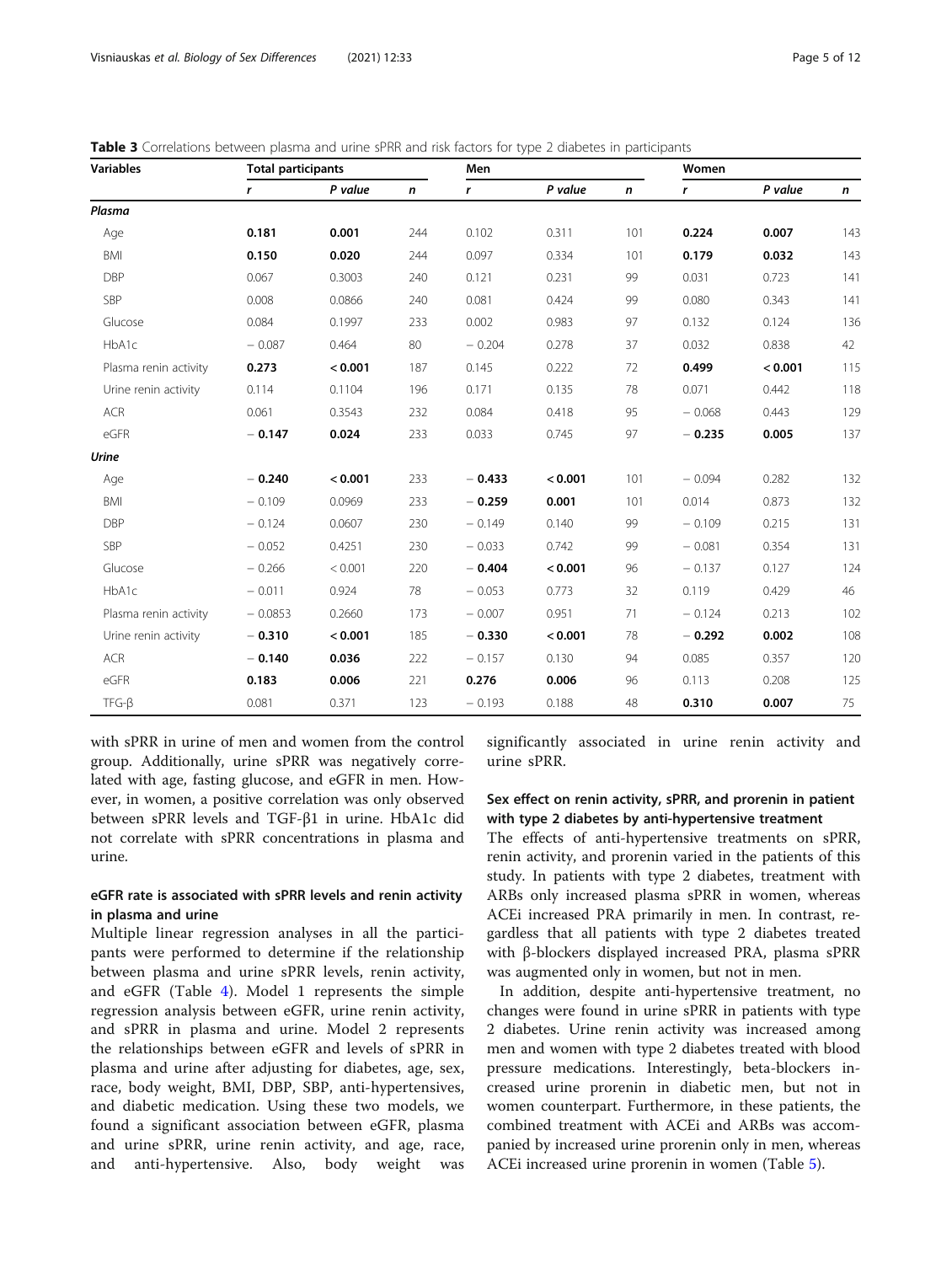<span id="page-4-0"></span>

| Table 3 Correlations between plasma and urine sPRR and risk factors for type 2 diabetes in participants |  |
|---------------------------------------------------------------------------------------------------------|--|
|                                                                                                         |  |

| <b>Variables</b>      | <b>Total participants</b> |         |              | Men      |         |              | Women    |         |              |  |
|-----------------------|---------------------------|---------|--------------|----------|---------|--------------|----------|---------|--------------|--|
|                       | r                         | P value | $\mathsf{n}$ | r        | P value | $\mathsf{n}$ | r        | P value | $\mathsf{n}$ |  |
| Plasma                |                           |         |              |          |         |              |          |         |              |  |
| Age                   | 0.181                     | 0.001   | 244          | 0.102    | 0.311   | 101          | 0.224    | 0.007   | 143          |  |
| <b>BMI</b>            | 0.150                     | 0.020   | 244          | 0.097    | 0.334   | 101          | 0.179    | 0.032   | 143          |  |
| <b>DBP</b>            | 0.067                     | 0.3003  | 240          | 0.121    | 0.231   | 99           | 0.031    | 0.723   | 141          |  |
| SBP                   | 0.008                     | 0.0866  | 240          | 0.081    | 0.424   | 99           | 0.080    | 0.343   | 141          |  |
| Glucose               | 0.084                     | 0.1997  | 233          | 0.002    | 0.983   | 97           | 0.132    | 0.124   | 136          |  |
| HbA1c                 | $-0.087$                  | 0.464   | 80           | $-0.204$ | 0.278   | 37           | 0.032    | 0.838   | 42           |  |
| Plasma renin activity | 0.273                     | < 0.001 | 187          | 0.145    | 0.222   | 72           | 0.499    | < 0.001 | 115          |  |
| Urine renin activity  | 0.114                     | 0.1104  | 196          | 0.171    | 0.135   | 78           | 0.071    | 0.442   | 118          |  |
| <b>ACR</b>            | 0.061                     | 0.3543  | 232          | 0.084    | 0.418   | 95           | $-0.068$ | 0.443   | 129          |  |
| eGFR                  | $-0.147$                  | 0.024   | 233          | 0.033    | 0.745   | 97           | $-0.235$ | 0.005   | 137          |  |
| <b>Urine</b>          |                           |         |              |          |         |              |          |         |              |  |
| Age                   | $-0.240$                  | < 0.001 | 233          | $-0.433$ | < 0.001 | 101          | $-0.094$ | 0.282   | 132          |  |
| <b>BMI</b>            | $-0.109$                  | 0.0969  | 233          | $-0.259$ | 0.001   | 101          | 0.014    | 0.873   | 132          |  |
| <b>DBP</b>            | $-0.124$                  | 0.0607  | 230          | $-0.149$ | 0.140   | 99           | $-0.109$ | 0.215   | 131          |  |
| SBP                   | $-0.052$                  | 0.4251  | 230          | $-0.033$ | 0.742   | 99           | $-0.081$ | 0.354   | 131          |  |
| Glucose               | $-0.266$                  | < 0.001 | 220          | $-0.404$ | < 0.001 | 96           | $-0.137$ | 0.127   | 124          |  |
| HbA1c                 | $-0.011$                  | 0.924   | 78           | $-0.053$ | 0.773   | 32           | 0.119    | 0.429   | 46           |  |
| Plasma renin activity | $-0.0853$                 | 0.2660  | 173          | $-0.007$ | 0.951   | 71           | $-0.124$ | 0.213   | 102          |  |
| Urine renin activity  | $-0.310$                  | < 0.001 | 185          | $-0.330$ | < 0.001 | 78           | $-0.292$ | 0.002   | 108          |  |
| ACR                   | $-0.140$                  | 0.036   | 222          | $-0.157$ | 0.130   | 94           | 0.085    | 0.357   | 120          |  |
| eGFR                  | 0.183                     | 0.006   | 221          | 0.276    | 0.006   | 96           | 0.113    | 0.208   | 125          |  |
| $TFG-B$               | 0.081                     | 0.371   | 123          | $-0.193$ | 0.188   | 48           | 0.310    | 0.007   | 75           |  |

with sPRR in urine of men and women from the control group. Additionally, urine sPRR was negatively correlated with age, fasting glucose, and eGFR in men. However, in women, a positive correlation was only observed between sPRR levels and TGF-β1 in urine. HbA1c did not correlate with sPRR concentrations in plasma and urine.

# eGFR rate is associated with sPRR levels and renin activity in plasma and urine

Multiple linear regression analyses in all the participants were performed to determine if the relationship between plasma and urine sPRR levels, renin activity, and eGFR (Table [4](#page-5-0)). Model 1 represents the simple regression analysis between eGFR, urine renin activity, and sPRR in plasma and urine. Model 2 represents the relationships between eGFR and levels of sPRR in plasma and urine after adjusting for diabetes, age, sex, race, body weight, BMI, DBP, SBP, anti-hypertensives, and diabetic medication. Using these two models, we found a significant association between eGFR, plasma and urine sPRR, urine renin activity, and age, race, and anti-hypertensive. Also, body weight was significantly associated in urine renin activity and urine sPRR.

# Sex effect on renin activity, sPRR, and prorenin in patient with type 2 diabetes by anti-hypertensive treatment

The effects of anti-hypertensive treatments on sPRR, renin activity, and prorenin varied in the patients of this study. In patients with type 2 diabetes, treatment with ARBs only increased plasma sPRR in women, whereas ACEi increased PRA primarily in men. In contrast, regardless that all patients with type 2 diabetes treated with β-blockers displayed increased PRA, plasma sPRR was augmented only in women, but not in men.

In addition, despite anti-hypertensive treatment, no changes were found in urine sPRR in patients with type 2 diabetes. Urine renin activity was increased among men and women with type 2 diabetes treated with blood pressure medications. Interestingly, beta-blockers increased urine prorenin in diabetic men, but not in women counterpart. Furthermore, in these patients, the combined treatment with ACEi and ARBs was accompanied by increased urine prorenin only in men, whereas ACEi increased urine prorenin in women (Table [5](#page-6-0)).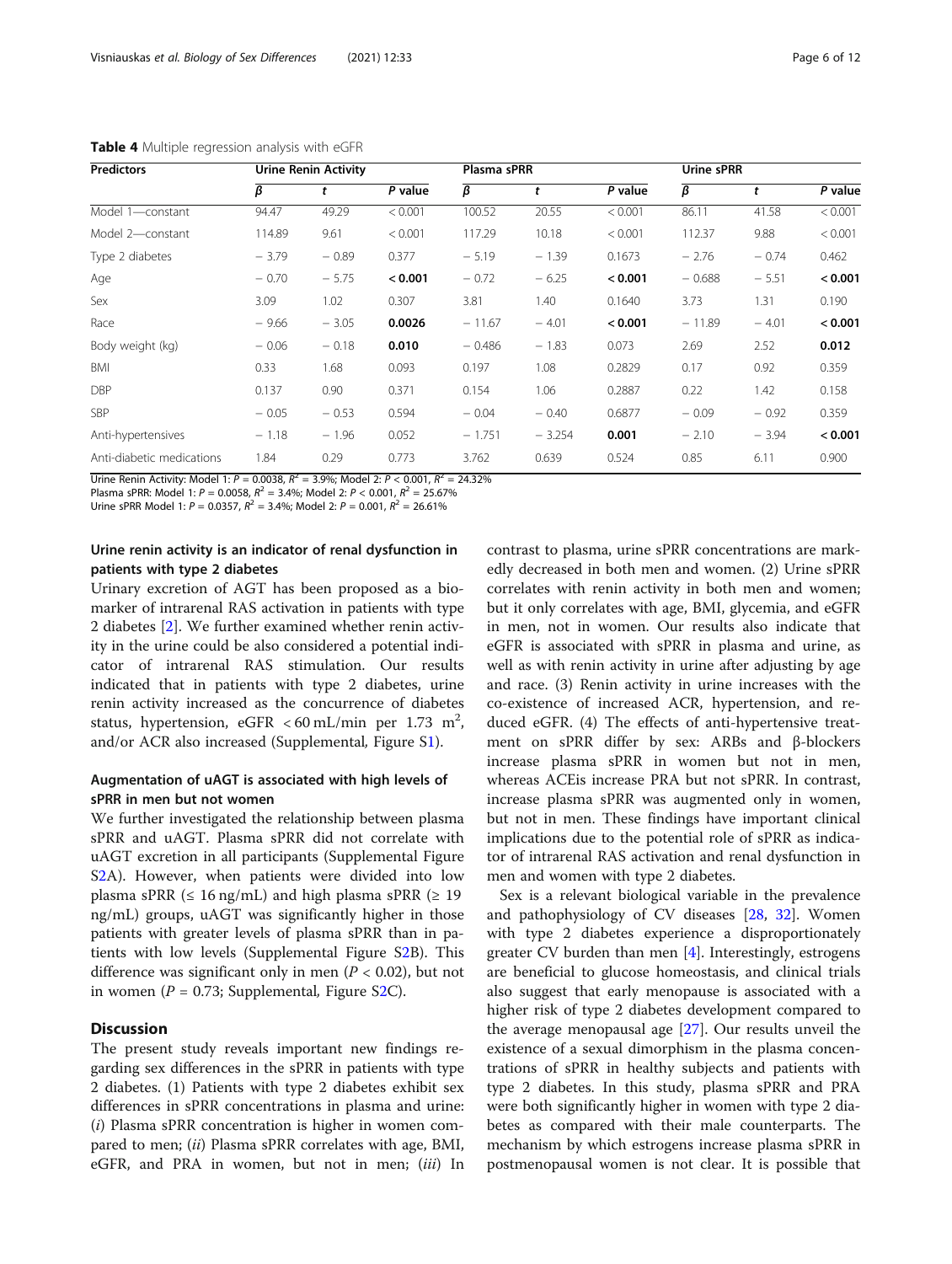| <b>Predictors</b>         | <b>Urine Renin Activity</b> |         |         |          | Plasma sPRR |         |          | Urine sPRR |         |  |
|---------------------------|-----------------------------|---------|---------|----------|-------------|---------|----------|------------|---------|--|
|                           | β                           |         | P value | β        | t           | P value | β        | t          | P value |  |
| Model 1-constant          | 94.47                       | 49.29   | < 0.001 | 100.52   | 20.55       | < 0.001 | 86.11    | 41.58      | < 0.001 |  |
| Model 2-constant          | 114.89                      | 9.61    | < 0.001 | 117.29   | 10.18       | < 0.001 | 112.37   | 9.88       | < 0.001 |  |
| Type 2 diabetes           | $-3.79$                     | $-0.89$ | 0.377   | $-5.19$  | $-1.39$     | 0.1673  | $-2.76$  | $-0.74$    | 0.462   |  |
| Age                       | $-0.70$                     | $-5.75$ | < 0.001 | $-0.72$  | $-6.25$     | < 0.001 | $-0.688$ | $-5.51$    | < 0.001 |  |
| Sex                       | 3.09                        | 1.02    | 0.307   | 3.81     | 1.40        | 0.1640  | 3.73     | 1.31       | 0.190   |  |
| Race                      | $-9.66$                     | $-3.05$ | 0.0026  | $-11.67$ | $-4.01$     | < 0.001 | $-11.89$ | $-4.01$    | < 0.001 |  |
| Body weight (kg)          | $-0.06$                     | $-0.18$ | 0.010   | $-0.486$ | $-1.83$     | 0.073   | 2.69     | 2.52       | 0.012   |  |
| BMI                       | 0.33                        | 1.68    | 0.093   | 0.197    | 1.08        | 0.2829  | 0.17     | 0.92       | 0.359   |  |
| <b>DBP</b>                | 0.137                       | 0.90    | 0.371   | 0.154    | 1.06        | 0.2887  | 0.22     | 1.42       | 0.158   |  |
| <b>SBP</b>                | $-0.05$                     | $-0.53$ | 0.594   | $-0.04$  | $-0.40$     | 0.6877  | $-0.09$  | $-0.92$    | 0.359   |  |
| Anti-hypertensives        | $-1.18$                     | $-1.96$ | 0.052   | $-1.751$ | $-3.254$    | 0.001   | $-2.10$  | $-3.94$    | < 0.001 |  |
| Anti-diabetic medications | 1.84                        | 0.29    | 0.773   | 3.762    | 0.639       | 0.524   | 0.85     | 6.11       | 0.900   |  |

<span id="page-5-0"></span>Table 4 Multiple regression analysis with eGFR

Urine Renin Activity: Model 1:  $P = 0.0038$ ,  $R^2 = 3.9\%$ ; Model 2:  $P < 0.001$ ,  $R^2 = 24.32\%$ 

Plasma sPRR: Model 1:  $P = 0.0058$ ,  $R^2 = 3.4\%$ ; Model 2:  $P < 0.001$ ,  $R^2 = 25.67\%$ 

Urine sPRR Model 1:  $P = 0.0357$ ,  $R^2 = 3.4\%$ ; Model 2:  $P = 0.001$ ,  $R^2 = 26.61\%$ 

# Urine renin activity is an indicator of renal dysfunction in patients with type 2 diabetes

Urinary excretion of AGT has been proposed as a biomarker of intrarenal RAS activation in patients with type 2 diabetes [[2\]](#page-10-0). We further examined whether renin activity in the urine could be also considered a potential indicator of intrarenal RAS stimulation. Our results indicated that in patients with type 2 diabetes, urine renin activity increased as the concurrence of diabetes status, hypertension, eGFR < 60 mL/min per 1.73 m<sup>2</sup>, and/or ACR also increased (Supplemental, Figure [S1](#page-9-0)).

# Augmentation of uAGT is associated with high levels of sPRR in men but not women

We further investigated the relationship between plasma sPRR and uAGT. Plasma sPRR did not correlate with uAGT excretion in all participants (Supplemental Figure S<sub>2</sub>A). However, when patients were divided into low plasma sPRR ( $\leq 16$  ng/mL) and high plasma sPRR ( $\geq 19$ ng/mL) groups, uAGT was significantly higher in those patients with greater levels of plasma sPRR than in patients with low levels (Supplemental Figure S[2B](#page-9-0)). This difference was significant only in men ( $P < 0.02$ ), but not in women ( $P = 0.73$ ; Supplemental, Figure [S2](#page-9-0)C).

# **Discussion**

The present study reveals important new findings regarding sex differences in the sPRR in patients with type 2 diabetes. (1) Patients with type 2 diabetes exhibit sex differences in sPRR concentrations in plasma and urine:  $(i)$  Plasma sPRR concentration is higher in women compared to men; (ii) Plasma sPRR correlates with age, BMI, eGFR, and PRA in women, but not in men; (iii) In contrast to plasma, urine sPRR concentrations are markedly decreased in both men and women. (2) Urine sPRR correlates with renin activity in both men and women; but it only correlates with age, BMI, glycemia, and eGFR in men, not in women. Our results also indicate that eGFR is associated with sPRR in plasma and urine, as well as with renin activity in urine after adjusting by age and race. (3) Renin activity in urine increases with the co-existence of increased ACR, hypertension, and reduced eGFR. (4) The effects of anti-hypertensive treatment on sPRR differ by sex: ARBs and β-blockers increase plasma sPRR in women but not in men, whereas ACEis increase PRA but not sPRR. In contrast, increase plasma sPRR was augmented only in women, but not in men. These findings have important clinical implications due to the potential role of sPRR as indicator of intrarenal RAS activation and renal dysfunction in men and women with type 2 diabetes.

Sex is a relevant biological variable in the prevalence and pathophysiology of CV diseases [\[28](#page-10-0), [32](#page-10-0)]. Women with type 2 diabetes experience a disproportionately greater CV burden than men [[4\]](#page-10-0). Interestingly, estrogens are beneficial to glucose homeostasis, and clinical trials also suggest that early menopause is associated with a higher risk of type 2 diabetes development compared to the average menopausal age [[27\]](#page-10-0). Our results unveil the existence of a sexual dimorphism in the plasma concentrations of sPRR in healthy subjects and patients with type 2 diabetes. In this study, plasma sPRR and PRA were both significantly higher in women with type 2 diabetes as compared with their male counterparts. The mechanism by which estrogens increase plasma sPRR in postmenopausal women is not clear. It is possible that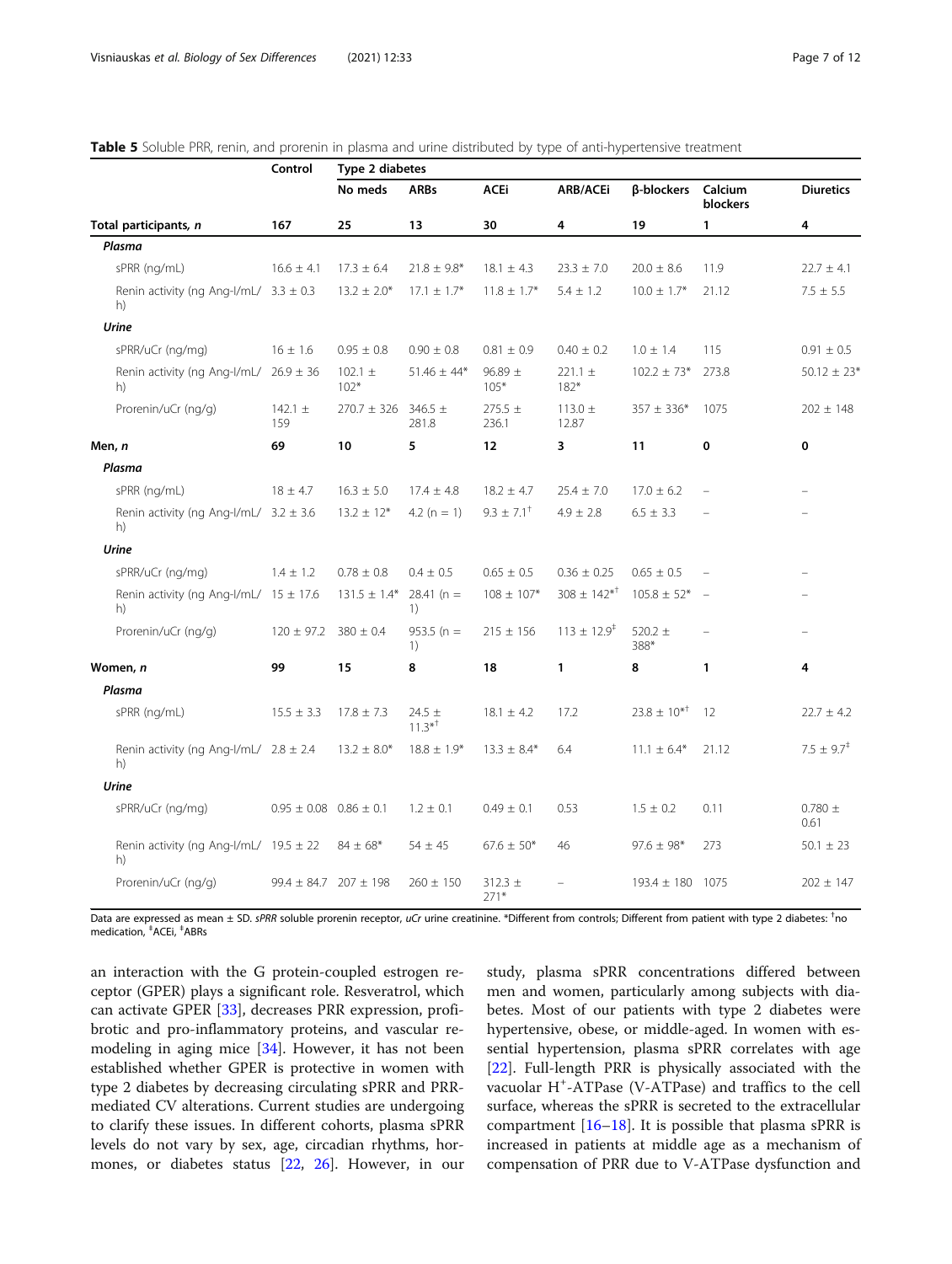<span id="page-6-0"></span>

|  |  |  | <b>Table 5</b> Soluble PRR, renin, and prorenin in plasma and urine distributed by type of anti-hypertensive treatment |
|--|--|--|------------------------------------------------------------------------------------------------------------------------|
|--|--|--|------------------------------------------------------------------------------------------------------------------------|

|                                                  | Control                        | Type 2 diabetes       |                                 |                       |                             |                     |                     |                          |
|--------------------------------------------------|--------------------------------|-----------------------|---------------------------------|-----------------------|-----------------------------|---------------------|---------------------|--------------------------|
|                                                  |                                | No meds               | <b>ARBs</b>                     | <b>ACEi</b>           | <b>ARB/ACEi</b>             | β-blockers          | Calcium<br>blockers | <b>Diuretics</b>         |
| Total participants, n                            | 167                            | 25                    | 13                              | 30                    | 4                           | 19                  | 1                   | 4                        |
| Plasma                                           |                                |                       |                                 |                       |                             |                     |                     |                          |
| sPRR (ng/mL)                                     | $16.6 \pm 4.1$                 | $17.3 \pm 6.4$        | $21.8 \pm 9.8$ *                | $18.1 \pm 4.3$        | $23.3 \pm 7.0$              | $20.0 \pm 8.6$      | 11.9                | $22.7 \pm 4.1$           |
| Renin activity (ng Ang-I/mL/ $3.3 \pm 0.3$<br>h) |                                | $13.2 \pm 2.0*$       | $17.1 \pm 1.7*$                 | $11.8 \pm 1.7*$       | $5.4 \pm 1.2$               | $10.0 \pm 1.7$ *    | 21.12               | $7.5 \pm 5.5$            |
| Urine                                            |                                |                       |                                 |                       |                             |                     |                     |                          |
| sPRR/uCr (ng/mg)                                 | $16 \pm 1.6$                   | $0.95 \pm 0.8$        | $0.90 \pm 0.8$                  | $0.81 \pm 0.9$        | $0.40 \pm 0.2$              | $1.0 \pm 1.4$       | 115                 | $0.91 \pm 0.5$           |
| Renin activity (ng Ang-I/mL/ $26.9 \pm 36$<br>h) |                                | 102.1 $\pm$<br>$102*$ | $51.46 \pm 44*$                 | $96.89 \pm$<br>$105*$ | $221.1 \pm$<br>$182*$       | $102.2 \pm 73*$     | 273.8               | $50.12 \pm 23*$          |
| Prorenin/uCr (ng/g)                              | 142.1 $\pm$<br>159             | $270.7 \pm 326$       | $346.5 \pm$<br>281.8            | $275.5 \pm$<br>236.1  | $113.0 \pm$<br>12.87        | $357 \pm 336*$      | 1075                | $202 \pm 148$            |
| Men, n                                           | 69                             | 10                    | 5                               | 12                    | 3                           | 11                  | $\mathbf 0$         | $\mathbf 0$              |
| Plasma                                           |                                |                       |                                 |                       |                             |                     |                     |                          |
| sPRR (ng/mL)                                     | $18 \pm 4.7$                   | $16.3 \pm 5.0$        | $17.4 \pm 4.8$                  | $18.2 \pm 4.7$        | $25.4 \pm 7.0$              | $17.0 \pm 6.2$      |                     | $\equiv$                 |
| Renin activity (ng Ang-I/mL/ $3.2 \pm 3.6$<br>h) |                                | $13.2 \pm 12*$        | 4.2 ( $n = 1$ )                 | $9.3 \pm 7.1^+$       | $4.9 \pm 2.8$               | $6.5 \pm 3.3$       |                     |                          |
| Urine                                            |                                |                       |                                 |                       |                             |                     |                     |                          |
| sPRR/uCr (ng/mg)                                 | $1.4 \pm 1.2$                  | $0.78 \pm 0.8$        | $0.4 \pm 0.5$                   | $0.65 \pm 0.5$        | $0.36 \pm 0.25$             | $0.65 \pm 0.5$      |                     |                          |
| Renin activity (ng Ang-I/mL/ $15 \pm 17.6$<br>h) |                                | $131.5 \pm 1.4*$      | $28.41(n =$<br>1)               | $108 \pm 107*$        | $308 \pm 142^{*^{\dagger}}$ | $105.8 \pm 52*$     |                     |                          |
| Prorenin/uCr (ng/g)                              | $120 \pm 97.2$                 | $380 \pm 0.4$         | $953.5(n =$<br>1)               | $215 \pm 156$         | $113 \pm 12.9^+$            | 520.2 $\pm$<br>388* |                     | $\equiv$                 |
| Women, n                                         | 99                             | 15                    | 8                               | 18                    | 1                           | 8                   | $\mathbf{1}$        | 4                        |
| Plasma                                           |                                |                       |                                 |                       |                             |                     |                     |                          |
| sPRR (ng/mL)                                     | $15.5 \pm 3.3$                 | $17.8 \pm 7.3$        | 24.5 $\pm$<br>$11.3*^{\dagger}$ | $18.1 \pm 4.2$        | 17.2                        | $23.8 \pm 10^{*T}$  | 12                  | $22.7 \pm 4.2$           |
| Renin activity (ng Ang-l/mL/ $2.8 \pm 2.4$<br>h) |                                | $13.2 \pm 8.0*$       | $18.8 \pm 1.9*$                 | $13.3 \pm 8.4*$       | 6.4                         | $11.1 \pm 6.4*$     | 21.12               | $7.5 \pm 9.7^{\ddagger}$ |
| <b>Urine</b>                                     |                                |                       |                                 |                       |                             |                     |                     |                          |
| sPRR/uCr (ng/mg)                                 | $0.95 \pm 0.08$ 0.86 $\pm$ 0.1 |                       | $1.2 \pm 0.1$                   | $0.49 \pm 0.1$        | 0.53                        | $1.5 \pm 0.2$       | 0.11                | $0.780 \pm$<br>0.61      |
| Renin activity (ng Ang-I/mL/ $19.5 \pm 22$<br>h) |                                | $84 \pm 68*$          | $54 \pm 45$                     | $67.6 \pm 50*$        | 46                          | $97.6 \pm 98*$      | 273                 | $50.1 \pm 23$            |
| Prorenin/uCr (ng/g)                              | $99.4 \pm 84.7$ 207 $\pm$ 198  |                       | $260 \pm 150$                   | $312.3 \pm$<br>$271*$ |                             | 193.4 ± 180 1075    |                     | $202 \pm 147$            |

Data are expressed as mean ± SD. *sPRR* soluble prorenin receptor, *uCr* urine creatinine. \*Different from controls; Different from patient with type 2 diabetes: <sup>†</sup>no<br>medication <u>‡ACEi ‡ARRs</u> medication, ‡ ACEi, ‡ ABRs

an interaction with the G protein-coupled estrogen receptor (GPER) plays a significant role. Resveratrol, which can activate GPER [[33](#page-10-0)], decreases PRR expression, profibrotic and pro-inflammatory proteins, and vascular remodeling in aging mice [[34\]](#page-10-0). However, it has not been established whether GPER is protective in women with type 2 diabetes by decreasing circulating sPRR and PRRmediated CV alterations. Current studies are undergoing to clarify these issues. In different cohorts, plasma sPRR levels do not vary by sex, age, circadian rhythms, hormones, or diabetes status [[22](#page-10-0), [26](#page-10-0)]. However, in our

study, plasma sPRR concentrations differed between men and women, particularly among subjects with diabetes. Most of our patients with type 2 diabetes were hypertensive, obese, or middle-aged. In women with essential hypertension, plasma sPRR correlates with age [[22\]](#page-10-0). Full-length PRR is physically associated with the vacuolar H<sup>+</sup> -ATPase (V-ATPase) and traffics to the cell surface, whereas the sPRR is secreted to the extracellular compartment [[16](#page-10-0)–[18](#page-10-0)]. It is possible that plasma sPRR is increased in patients at middle age as a mechanism of compensation of PRR due to V-ATPase dysfunction and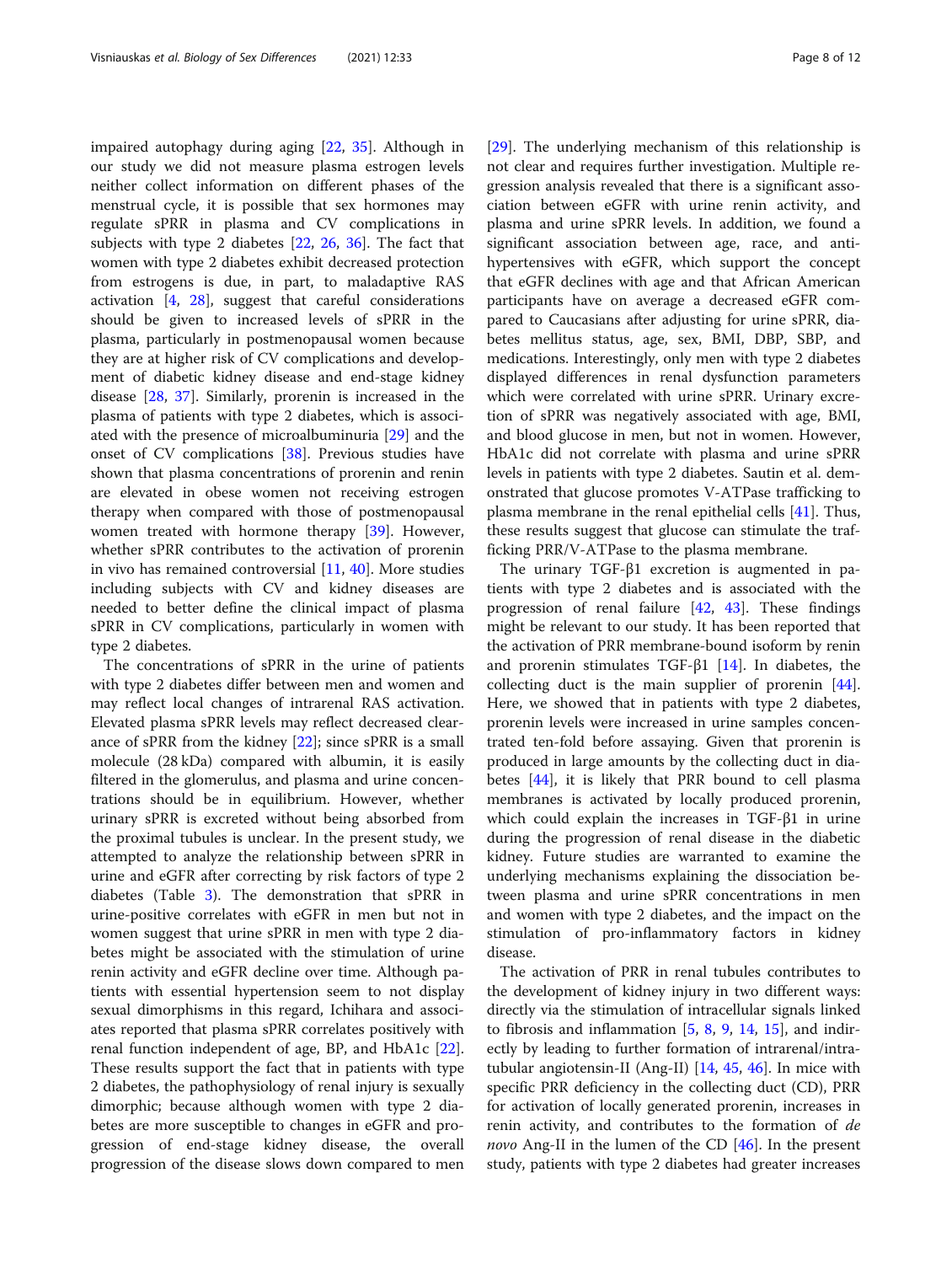impaired autophagy during aging [\[22,](#page-10-0) [35](#page-11-0)]. Although in our study we did not measure plasma estrogen levels neither collect information on different phases of the menstrual cycle, it is possible that sex hormones may regulate sPRR in plasma and CV complications in subjects with type 2 diabetes [[22,](#page-10-0) [26,](#page-10-0) [36](#page-11-0)]. The fact that women with type 2 diabetes exhibit decreased protection from estrogens is due, in part, to maladaptive RAS activation [[4](#page-10-0), [28\]](#page-10-0), suggest that careful considerations should be given to increased levels of sPRR in the plasma, particularly in postmenopausal women because they are at higher risk of CV complications and development of diabetic kidney disease and end-stage kidney disease [[28,](#page-10-0) [37](#page-11-0)]. Similarly, prorenin is increased in the plasma of patients with type 2 diabetes, which is associated with the presence of microalbuminuria [\[29](#page-10-0)] and the onset of CV complications [\[38](#page-11-0)]. Previous studies have shown that plasma concentrations of prorenin and renin are elevated in obese women not receiving estrogen therapy when compared with those of postmenopausal women treated with hormone therapy [\[39](#page-11-0)]. However, whether sPRR contributes to the activation of prorenin in vivo has remained controversial [[11,](#page-10-0) [40\]](#page-11-0). More studies including subjects with CV and kidney diseases are needed to better define the clinical impact of plasma sPRR in CV complications, particularly in women with type 2 diabetes.

The concentrations of sPRR in the urine of patients with type 2 diabetes differ between men and women and may reflect local changes of intrarenal RAS activation. Elevated plasma sPRR levels may reflect decreased clearance of sPRR from the kidney [[22\]](#page-10-0); since sPRR is a small molecule (28 kDa) compared with albumin, it is easily filtered in the glomerulus, and plasma and urine concentrations should be in equilibrium. However, whether urinary sPRR is excreted without being absorbed from the proximal tubules is unclear. In the present study, we attempted to analyze the relationship between sPRR in urine and eGFR after correcting by risk factors of type 2 diabetes (Table [3](#page-4-0)). The demonstration that sPRR in urine-positive correlates with eGFR in men but not in women suggest that urine sPRR in men with type 2 diabetes might be associated with the stimulation of urine renin activity and eGFR decline over time. Although patients with essential hypertension seem to not display sexual dimorphisms in this regard, Ichihara and associates reported that plasma sPRR correlates positively with renal function independent of age, BP, and HbA1c [\[22](#page-10-0)]. These results support the fact that in patients with type 2 diabetes, the pathophysiology of renal injury is sexually dimorphic; because although women with type 2 diabetes are more susceptible to changes in eGFR and progression of end-stage kidney disease, the overall progression of the disease slows down compared to men

[[29\]](#page-10-0). The underlying mechanism of this relationship is not clear and requires further investigation. Multiple regression analysis revealed that there is a significant association between eGFR with urine renin activity, and plasma and urine sPRR levels. In addition, we found a significant association between age, race, and antihypertensives with eGFR, which support the concept that eGFR declines with age and that African American participants have on average a decreased eGFR compared to Caucasians after adjusting for urine sPRR, diabetes mellitus status, age, sex, BMI, DBP, SBP, and medications. Interestingly, only men with type 2 diabetes displayed differences in renal dysfunction parameters which were correlated with urine sPRR. Urinary excretion of sPRR was negatively associated with age, BMI, and blood glucose in men, but not in women. However, HbA1c did not correlate with plasma and urine sPRR levels in patients with type 2 diabetes. Sautin et al. demonstrated that glucose promotes V-ATPase trafficking to plasma membrane in the renal epithelial cells [\[41](#page-11-0)]. Thus, these results suggest that glucose can stimulate the trafficking PRR/V-ATPase to the plasma membrane.

The urinary TGF-β1 excretion is augmented in patients with type 2 diabetes and is associated with the progression of renal failure [\[42](#page-11-0), [43](#page-11-0)]. These findings might be relevant to our study. It has been reported that the activation of PRR membrane-bound isoform by renin and prorenin stimulates TGF- $\beta$ 1 [[14\]](#page-10-0). In diabetes, the collecting duct is the main supplier of prorenin [\[44](#page-11-0)]. Here, we showed that in patients with type 2 diabetes, prorenin levels were increased in urine samples concentrated ten-fold before assaying. Given that prorenin is produced in large amounts by the collecting duct in diabetes [[44\]](#page-11-0), it is likely that PRR bound to cell plasma membranes is activated by locally produced prorenin, which could explain the increases in TGF-β1 in urine during the progression of renal disease in the diabetic kidney. Future studies are warranted to examine the underlying mechanisms explaining the dissociation between plasma and urine sPRR concentrations in men and women with type 2 diabetes, and the impact on the stimulation of pro-inflammatory factors in kidney disease.

The activation of PRR in renal tubules contributes to the development of kidney injury in two different ways: directly via the stimulation of intracellular signals linked to fibrosis and inflammation  $[5, 8, 9, 14, 15]$  $[5, 8, 9, 14, 15]$  $[5, 8, 9, 14, 15]$  $[5, 8, 9, 14, 15]$  $[5, 8, 9, 14, 15]$  $[5, 8, 9, 14, 15]$  $[5, 8, 9, 14, 15]$  $[5, 8, 9, 14, 15]$  $[5, 8, 9, 14, 15]$ , and indirectly by leading to further formation of intrarenal/intratubular angiotensin-II (Ang-II) [[14](#page-10-0), [45,](#page-11-0) [46\]](#page-11-0). In mice with specific PRR deficiency in the collecting duct (CD), PRR for activation of locally generated prorenin, increases in renin activity, and contributes to the formation of de novo Ang-II in the lumen of the CD [[46\]](#page-11-0). In the present study, patients with type 2 diabetes had greater increases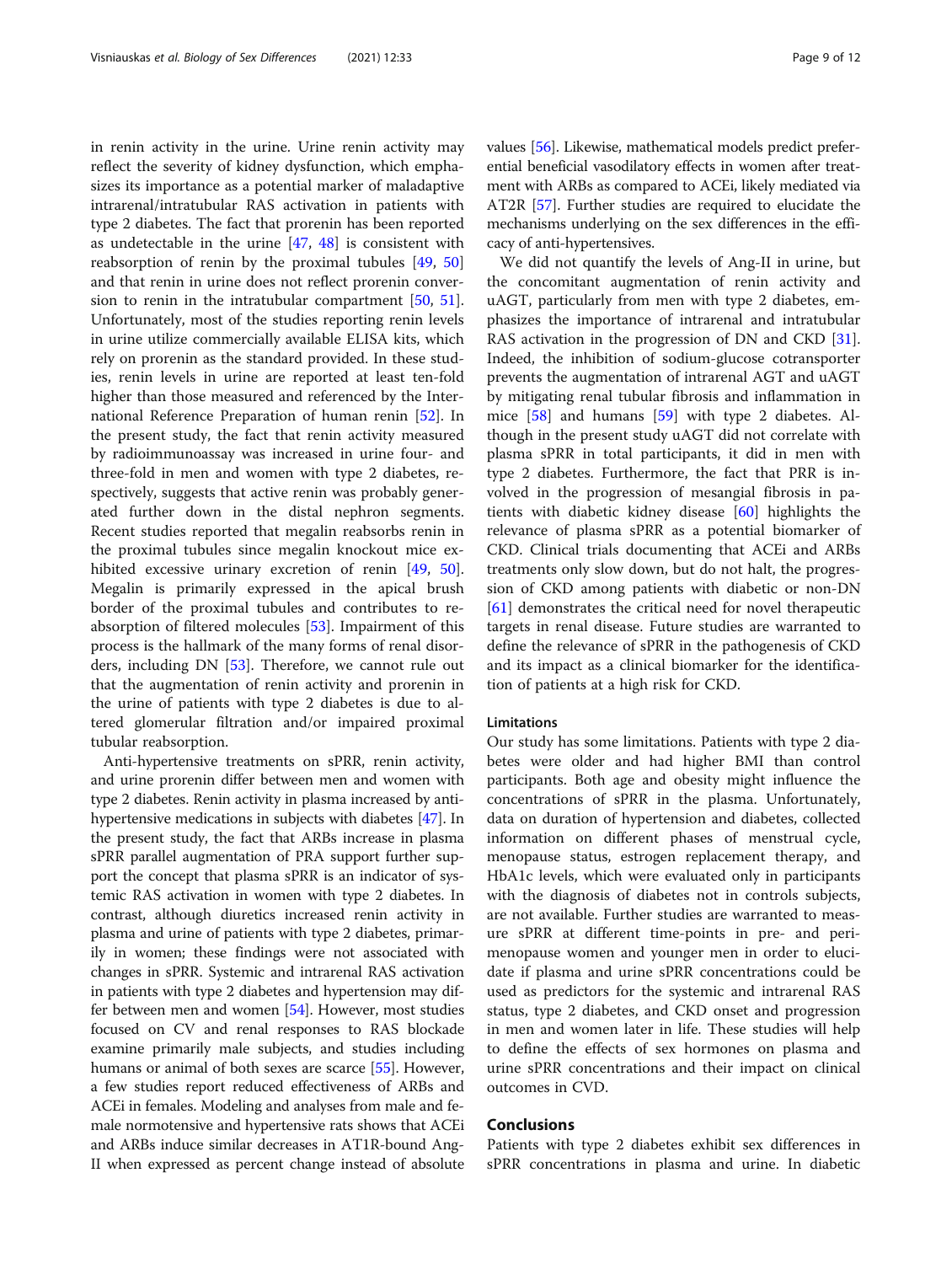in renin activity in the urine. Urine renin activity may reflect the severity of kidney dysfunction, which emphasizes its importance as a potential marker of maladaptive intrarenal/intratubular RAS activation in patients with type 2 diabetes. The fact that prorenin has been reported as undetectable in the urine [\[47](#page-11-0), [48](#page-11-0)] is consistent with reabsorption of renin by the proximal tubules [\[49,](#page-11-0) [50](#page-11-0)] and that renin in urine does not reflect prorenin conversion to renin in the intratubular compartment [\[50](#page-11-0), [51](#page-11-0)]. Unfortunately, most of the studies reporting renin levels in urine utilize commercially available ELISA kits, which rely on prorenin as the standard provided. In these studies, renin levels in urine are reported at least ten-fold higher than those measured and referenced by the International Reference Preparation of human renin [[52\]](#page-11-0). In the present study, the fact that renin activity measured by radioimmunoassay was increased in urine four- and three-fold in men and women with type 2 diabetes, respectively, suggests that active renin was probably generated further down in the distal nephron segments. Recent studies reported that megalin reabsorbs renin in the proximal tubules since megalin knockout mice ex-hibited excessive urinary excretion of renin [[49](#page-11-0), [50](#page-11-0)]. Megalin is primarily expressed in the apical brush border of the proximal tubules and contributes to reabsorption of filtered molecules [\[53](#page-11-0)]. Impairment of this process is the hallmark of the many forms of renal disorders, including DN [[53\]](#page-11-0). Therefore, we cannot rule out that the augmentation of renin activity and prorenin in the urine of patients with type 2 diabetes is due to altered glomerular filtration and/or impaired proximal tubular reabsorption.

Anti-hypertensive treatments on sPRR, renin activity, and urine prorenin differ between men and women with type 2 diabetes. Renin activity in plasma increased by antihypertensive medications in subjects with diabetes [\[47\]](#page-11-0). In the present study, the fact that ARBs increase in plasma sPRR parallel augmentation of PRA support further support the concept that plasma sPRR is an indicator of systemic RAS activation in women with type 2 diabetes. In contrast, although diuretics increased renin activity in plasma and urine of patients with type 2 diabetes, primarily in women; these findings were not associated with changes in sPRR. Systemic and intrarenal RAS activation in patients with type 2 diabetes and hypertension may differ between men and women [\[54\]](#page-11-0). However, most studies focused on CV and renal responses to RAS blockade examine primarily male subjects, and studies including humans or animal of both sexes are scarce [[55](#page-11-0)]. However, a few studies report reduced effectiveness of ARBs and ACEi in females. Modeling and analyses from male and female normotensive and hypertensive rats shows that ACEi and ARBs induce similar decreases in AT1R-bound Ang-II when expressed as percent change instead of absolute values [\[56\]](#page-11-0). Likewise, mathematical models predict preferential beneficial vasodilatory effects in women after treatment with ARBs as compared to ACEi, likely mediated via AT2R [[57](#page-11-0)]. Further studies are required to elucidate the mechanisms underlying on the sex differences in the efficacy of anti-hypertensives.

We did not quantify the levels of Ang-II in urine, but the concomitant augmentation of renin activity and uAGT, particularly from men with type 2 diabetes, emphasizes the importance of intrarenal and intratubular RAS activation in the progression of DN and CKD [\[31](#page-10-0)]. Indeed, the inhibition of sodium-glucose cotransporter prevents the augmentation of intrarenal AGT and uAGT by mitigating renal tubular fibrosis and inflammation in mice [[58](#page-11-0)] and humans [[59](#page-11-0)] with type 2 diabetes. Although in the present study uAGT did not correlate with plasma sPRR in total participants, it did in men with type 2 diabetes. Furthermore, the fact that PRR is involved in the progression of mesangial fibrosis in patients with diabetic kidney disease [\[60\]](#page-11-0) highlights the relevance of plasma sPRR as a potential biomarker of CKD. Clinical trials documenting that ACEi and ARBs treatments only slow down, but do not halt, the progression of CKD among patients with diabetic or non-DN [[61\]](#page-11-0) demonstrates the critical need for novel therapeutic targets in renal disease. Future studies are warranted to define the relevance of sPRR in the pathogenesis of CKD and its impact as a clinical biomarker for the identification of patients at a high risk for CKD.

# Limitations

Our study has some limitations. Patients with type 2 diabetes were older and had higher BMI than control participants. Both age and obesity might influence the concentrations of sPRR in the plasma. Unfortunately, data on duration of hypertension and diabetes, collected information on different phases of menstrual cycle, menopause status, estrogen replacement therapy, and HbA1c levels, which were evaluated only in participants with the diagnosis of diabetes not in controls subjects, are not available. Further studies are warranted to measure sPRR at different time-points in pre- and perimenopause women and younger men in order to elucidate if plasma and urine sPRR concentrations could be used as predictors for the systemic and intrarenal RAS status, type 2 diabetes, and CKD onset and progression in men and women later in life. These studies will help to define the effects of sex hormones on plasma and urine sPRR concentrations and their impact on clinical outcomes in CVD.

# Conclusions

Patients with type 2 diabetes exhibit sex differences in sPRR concentrations in plasma and urine. In diabetic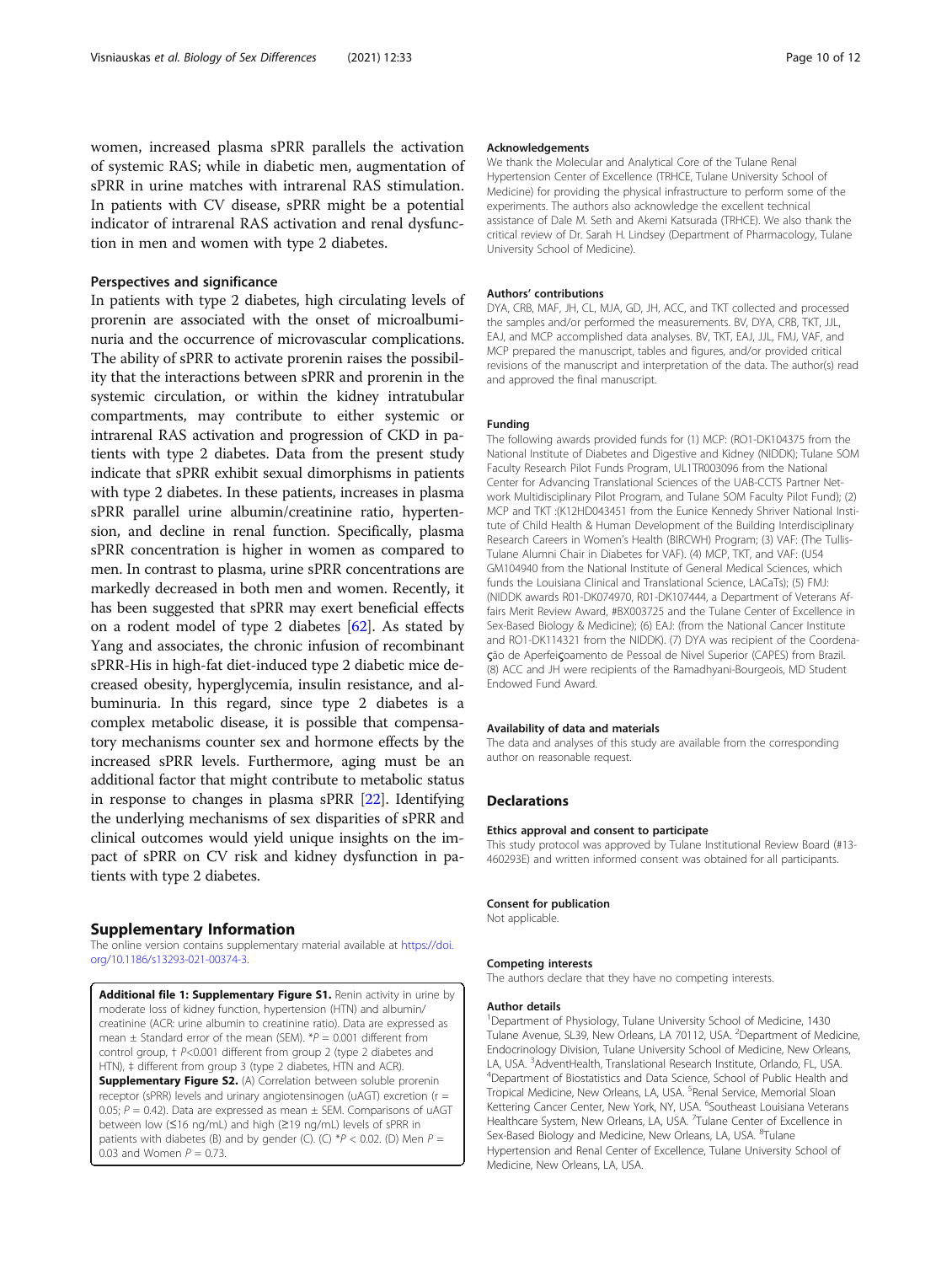<span id="page-9-0"></span>women, increased plasma sPRR parallels the activation of systemic RAS; while in diabetic men, augmentation of sPRR in urine matches with intrarenal RAS stimulation. In patients with CV disease, sPRR might be a potential indicator of intrarenal RAS activation and renal dysfunction in men and women with type 2 diabetes.

# Perspectives and significance

In patients with type 2 diabetes, high circulating levels of prorenin are associated with the onset of microalbuminuria and the occurrence of microvascular complications. The ability of sPRR to activate prorenin raises the possibility that the interactions between sPRR and prorenin in the systemic circulation, or within the kidney intratubular compartments, may contribute to either systemic or intrarenal RAS activation and progression of CKD in patients with type 2 diabetes. Data from the present study indicate that sPRR exhibit sexual dimorphisms in patients with type 2 diabetes. In these patients, increases in plasma sPRR parallel urine albumin/creatinine ratio, hypertension, and decline in renal function. Specifically, plasma sPRR concentration is higher in women as compared to men. In contrast to plasma, urine sPRR concentrations are markedly decreased in both men and women. Recently, it has been suggested that sPRR may exert beneficial effects on a rodent model of type 2 diabetes [\[62\]](#page-11-0). As stated by Yang and associates, the chronic infusion of recombinant sPRR-His in high-fat diet-induced type 2 diabetic mice decreased obesity, hyperglycemia, insulin resistance, and albuminuria. In this regard, since type 2 diabetes is a complex metabolic disease, it is possible that compensatory mechanisms counter sex and hormone effects by the increased sPRR levels. Furthermore, aging must be an additional factor that might contribute to metabolic status in response to changes in plasma sPRR [[22](#page-10-0)]. Identifying the underlying mechanisms of sex disparities of sPRR and clinical outcomes would yield unique insights on the impact of sPRR on CV risk and kidney dysfunction in patients with type 2 diabetes.

#### Supplementary Information

The online version contains supplementary material available at [https://doi.](https://doi.org/10.1186/s13293-021-00374-3) [org/10.1186/s13293-021-00374-3.](https://doi.org/10.1186/s13293-021-00374-3)

Additional file 1: Supplementary Figure S1. Renin activity in urine by moderate loss of kidney function, hypertension (HTN) and albumin/ creatinine (ACR: urine albumin to creatinine ratio). Data are expressed as mean  $\pm$  Standard error of the mean (SEM).  $^{*}P = 0.001$  different from control group, † P<0.001 different from group 2 (type 2 diabetes and HTN),  $\ddagger$  different from group 3 (type 2 diabetes, HTN and ACR). Supplementary Figure S2. (A) Correlation between soluble prorenin receptor (sPRR) levels and urinary angiotensinogen (uAGT) excretion (r = 0.05;  $P = 0.42$ ). Data are expressed as mean  $\pm$  SEM. Comparisons of uAGT between low (≤16 ng/mL) and high (≥19 ng/mL) levels of sPRR in patients with diabetes (B) and by gender (C). (C)  $*P < 0.02$ . (D) Men  $P =$ 0.03 and Women  $P = 0.73$ .

#### Acknowledgements

We thank the Molecular and Analytical Core of the Tulane Renal Hypertension Center of Excellence (TRHCE, Tulane University School of Medicine) for providing the physical infrastructure to perform some of the experiments. The authors also acknowledge the excellent technical assistance of Dale M. Seth and Akemi Katsurada (TRHCE). We also thank the critical review of Dr. Sarah H. Lindsey (Department of Pharmacology, Tulane University School of Medicine).

#### Authors' contributions

DYA, CRB, MAF, JH, CL, MJA, GD, JH, ACC, and TKT collected and processed the samples and/or performed the measurements. BV, DYA, CRB, TKT, JJL, EAJ, and MCP accomplished data analyses. BV, TKT, EAJ, JJL, FMJ, VAF, and MCP prepared the manuscript, tables and figures, and/or provided critical revisions of the manuscript and interpretation of the data. The author(s) read and approved the final manuscript.

#### Funding

The following awards provided funds for (1) MCP: (RO1-DK104375 from the National Institute of Diabetes and Digestive and Kidney (NIDDK); Tulane SOM Faculty Research Pilot Funds Program, UL1TR003096 from the National Center for Advancing Translational Sciences of the UAB-CCTS Partner Network Multidisciplinary Pilot Program, and Tulane SOM Faculty Pilot Fund); (2) MCP and TKT :(K12HD043451 from the Eunice Kennedy Shriver National Institute of Child Health & Human Development of the Building Interdisciplinary Research Careers in Women's Health (BIRCWH) Program; (3) VAF: (The Tullis-Tulane Alumni Chair in Diabetes for VAF). (4) MCP, TKT, and VAF: (U54 GM104940 from the National Institute of General Medical Sciences, which funds the Louisiana Clinical and Translational Science, LACaTs); (5) FMJ: (NIDDK awards R01-DK074970, R01-DK107444, a Department of Veterans Affairs Merit Review Award, #BX003725 and the Tulane Center of Excellence in Sex-Based Biology & Medicine); (6) EAJ: (from the National Cancer Institute and RO1-DK114321 from the NIDDK). (7) DYA was recipient of the Coordenaςão de Aperfeiςoamento de Pessoal de Nivel Superior (CAPES) from Brazil. (8) ACC and JH were recipients of the Ramadhyani-Bourgeois, MD Student Endowed Fund Award.

#### Availability of data and materials

The data and analyses of this study are available from the corresponding author on reasonable request.

# **Declarations**

#### Ethics approval and consent to participate

This study protocol was approved by Tulane Institutional Review Board (#13- 460293E) and written informed consent was obtained for all participants.

#### Consent for publication

Not applicable.

#### Competing interests

The authors declare that they have no competing interests.

#### Author details

<sup>1</sup>Department of Physiology, Tulane University School of Medicine, 1430 Tulane Avenue, SL39, New Orleans, LA 70112, USA. <sup>2</sup>Department of Medicine Endocrinology Division, Tulane University School of Medicine, New Orleans, LA, USA. <sup>3</sup> AdventHealth, Translational Research Institute, Orlando, FL, USA.<br><sup>4</sup> Department of Biostatistics and Data Science, School of Public Health and <sup>4</sup>Department of Biostatistics and Data Science, School of Public Health and Tropical Medicine, New Orleans, LA, USA. <sup>5</sup>Renal Service, Memorial Sloan Kettering Cancer Center, New York, NY, USA. <sup>6</sup>Southeast Louisiana Veterans Healthcare System, New Orleans, LA, USA. <sup>7</sup>Tulane Center of Excellence in Sex-Based Biology and Medicine, New Orleans, LA, USA. <sup>8</sup>Tulane Hypertension and Renal Center of Excellence, Tulane University School of Medicine, New Orleans, LA, USA.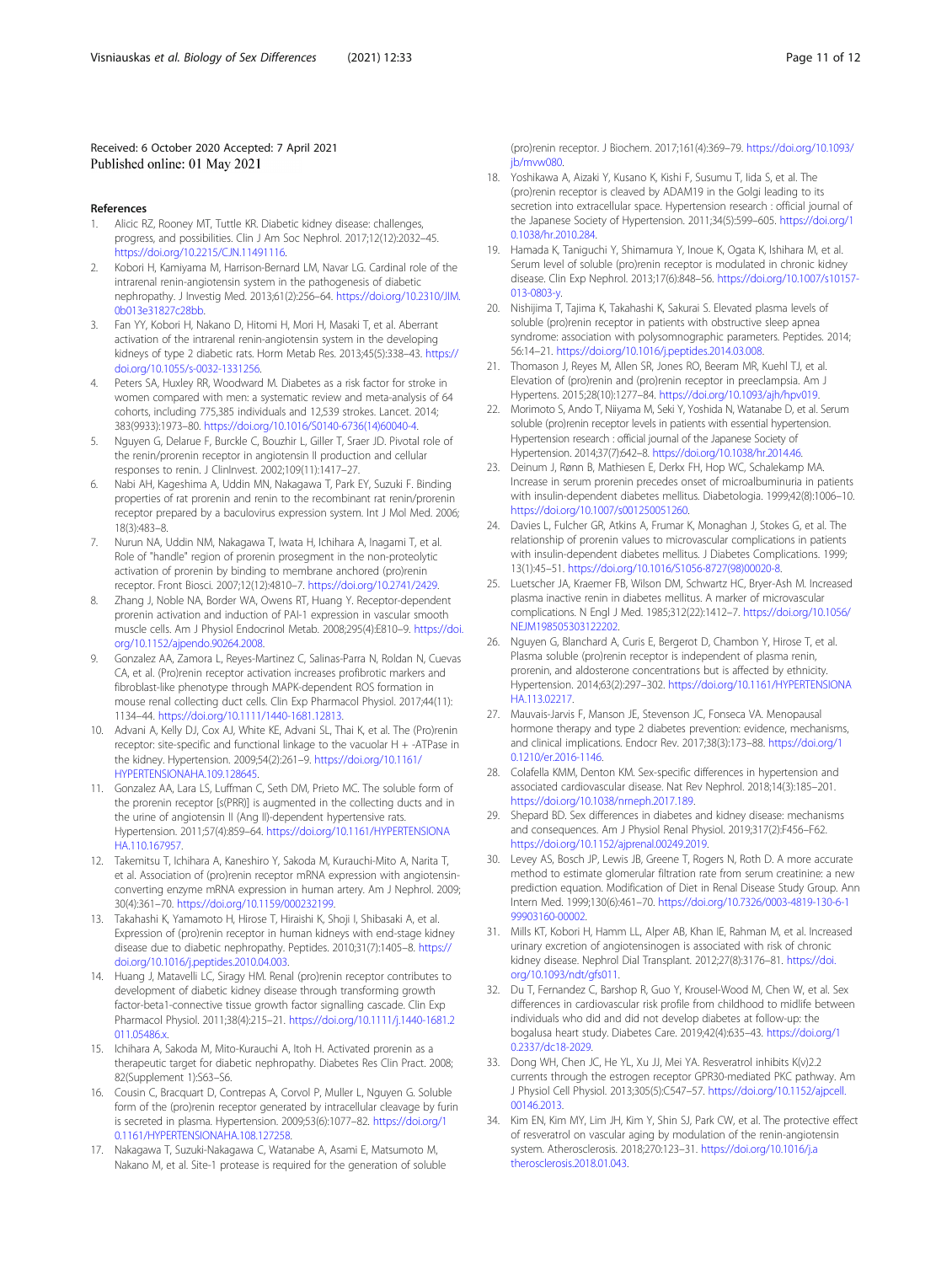# <span id="page-10-0"></span>Received: 6 October 2020 Accepted: 7 April 2021 Published online: 01 May 2021

#### References

- 1. Alicic RZ, Rooney MT, Tuttle KR. Diabetic kidney disease: challenges, progress, and possibilities. Clin J Am Soc Nephrol. 2017;12(12):2032–45. <https://doi.org/10.2215/CJN.11491116>.
- 2. Kobori H, Kamiyama M, Harrison-Bernard LM, Navar LG. Cardinal role of the intrarenal renin-angiotensin system in the pathogenesis of diabetic nephropathy. J Investig Med. 2013;61(2):256–64. [https://doi.org/10.2310/JIM.](https://doi.org/10.2310/JIM.0b013e31827c28bb) [0b013e31827c28bb](https://doi.org/10.2310/JIM.0b013e31827c28bb).
- 3. Fan YY, Kobori H, Nakano D, Hitomi H, Mori H, Masaki T, et al. Aberrant activation of the intrarenal renin-angiotensin system in the developing kidneys of type 2 diabetic rats. Horm Metab Res. 2013;45(5):338–43. [https://](https://doi.org/10.1055/s-0032-1331256) [doi.org/10.1055/s-0032-1331256.](https://doi.org/10.1055/s-0032-1331256)
- 4. Peters SA, Huxley RR, Woodward M. Diabetes as a risk factor for stroke in women compared with men: a systematic review and meta-analysis of 64 cohorts, including 775,385 individuals and 12,539 strokes. Lancet. 2014; 383(9933):1973–80. [https://doi.org/10.1016/S0140-6736\(14\)60040-4.](https://doi.org/10.1016/S0140-6736(14)60040-4)
- 5. Nguyen G, Delarue F, Burckle C, Bouzhir L, Giller T, Sraer JD. Pivotal role of the renin/prorenin receptor in angiotensin II production and cellular responses to renin. J ClinInvest. 2002;109(11):1417–27.
- 6. Nabi AH, Kageshima A, Uddin MN, Nakagawa T, Park EY, Suzuki F. Binding properties of rat prorenin and renin to the recombinant rat renin/prorenin receptor prepared by a baculovirus expression system. Int J Mol Med. 2006; 18(3):483–8.
- 7. Nurun NA, Uddin NM, Nakagawa T, Iwata H, Ichihara A, Inagami T, et al. Role of "handle" region of prorenin prosegment in the non-proteolytic activation of prorenin by binding to membrane anchored (pro)renin receptor. Front Biosci. 2007;12(12):4810–7. [https://doi.org/10.2741/2429.](https://doi.org/10.2741/2429)
- 8. Zhang J, Noble NA, Border WA, Owens RT, Huang Y. Receptor-dependent prorenin activation and induction of PAI-1 expression in vascular smooth muscle cells. Am J Physiol Endocrinol Metab. 2008;295(4):E810–9. [https://doi.](https://doi.org/10.1152/ajpendo.90264.2008) [org/10.1152/ajpendo.90264.2008](https://doi.org/10.1152/ajpendo.90264.2008).
- 9. Gonzalez AA, Zamora L, Reyes-Martinez C, Salinas-Parra N, Roldan N, Cuevas CA, et al. (Pro)renin receptor activation increases profibrotic markers and fibroblast-like phenotype through MAPK-dependent ROS formation in mouse renal collecting duct cells. Clin Exp Pharmacol Physiol. 2017;44(11): 1134–44. [https://doi.org/10.1111/1440-1681.12813.](https://doi.org/10.1111/1440-1681.12813)
- 10. Advani A, Kelly DJ, Cox AJ, White KE, Advani SL, Thai K, et al. The (Pro)renin receptor: site-specific and functional linkage to the vacuolar H + -ATPase in the kidney. Hypertension. 2009;54(2):261–9. [https://doi.org/10.1161/](https://doi.org/10.1161/HYPERTENSIONAHA.109.128645) [HYPERTENSIONAHA.109.128645](https://doi.org/10.1161/HYPERTENSIONAHA.109.128645).
- 11. Gonzalez AA, Lara LS, Luffman C, Seth DM, Prieto MC. The soluble form of the prorenin receptor [s(PRR)] is augmented in the collecting ducts and in the urine of angiotensin II (Ang II)-dependent hypertensive rats. Hypertension. 2011;57(4):859–64. [https://doi.org/10.1161/HYPERTENSIONA](https://doi.org/10.1161/HYPERTENSIONAHA.110.167957) [HA.110.167957](https://doi.org/10.1161/HYPERTENSIONAHA.110.167957).
- 12. Takemitsu T, Ichihara A, Kaneshiro Y, Sakoda M, Kurauchi-Mito A, Narita T, et al. Association of (pro)renin receptor mRNA expression with angiotensinconverting enzyme mRNA expression in human artery. Am J Nephrol. 2009; 30(4):361–70. [https://doi.org/10.1159/000232199.](https://doi.org/10.1159/000232199)
- 13. Takahashi K, Yamamoto H, Hirose T, Hiraishi K, Shoji I, Shibasaki A, et al. Expression of (pro)renin receptor in human kidneys with end-stage kidney disease due to diabetic nephropathy. Peptides. 2010;31(7):1405–8. [https://](https://doi.org/10.1016/j.peptides.2010.04.003) [doi.org/10.1016/j.peptides.2010.04.003.](https://doi.org/10.1016/j.peptides.2010.04.003)
- 14. Huang J, Matavelli LC, Siragy HM. Renal (pro)renin receptor contributes to development of diabetic kidney disease through transforming growth factor-beta1-connective tissue growth factor signalling cascade. Clin Exp Pharmacol Physiol. 2011;38(4):215–21. [https://doi.org/10.1111/j.1440-1681.2](https://doi.org/10.1111/j.1440-1681.2011.05486.x) [011.05486.x](https://doi.org/10.1111/j.1440-1681.2011.05486.x).
- 15. Ichihara A, Sakoda M, Mito-Kurauchi A, Itoh H. Activated prorenin as a therapeutic target for diabetic nephropathy. Diabetes Res Clin Pract. 2008; 82(Supplement 1):S63–S6.
- 16. Cousin C, Bracquart D, Contrepas A, Corvol P, Muller L, Nguyen G. Soluble form of the (pro)renin receptor generated by intracellular cleavage by furin is secreted in plasma. Hypertension. 2009;53(6):1077–82. [https://doi.org/1](https://doi.org/10.1161/HYPERTENSIONAHA.108.127258) [0.1161/HYPERTENSIONAHA.108.127258.](https://doi.org/10.1161/HYPERTENSIONAHA.108.127258)
- 17. Nakagawa T, Suzuki-Nakagawa C, Watanabe A, Asami E, Matsumoto M, Nakano M, et al. Site-1 protease is required for the generation of soluble

(pro)renin receptor. J Biochem. 2017;161(4):369–79. [https://doi.org/10.1093/](https://doi.org/10.1093/jb/mvw080) [jb/mvw080.](https://doi.org/10.1093/jb/mvw080)

- 18. Yoshikawa A, Aizaki Y, Kusano K, Kishi F, Susumu T, Iida S, et al. The (pro)renin receptor is cleaved by ADAM19 in the Golgi leading to its secretion into extracellular space. Hypertension research : official journal of the Japanese Society of Hypertension. 2011;34(5):599–605. [https://doi.org/1](https://doi.org/10.1038/hr.2010.284) [0.1038/hr.2010.284.](https://doi.org/10.1038/hr.2010.284)
- 19. Hamada K, Taniguchi Y, Shimamura Y, Inoue K, Ogata K, Ishihara M, et al. Serum level of soluble (pro)renin receptor is modulated in chronic kidney disease. Clin Exp Nephrol. 2013;17(6):848–56. [https://doi.org/10.1007/s10157-](https://doi.org/10.1007/s10157-013-0803-y) [013-0803-y.](https://doi.org/10.1007/s10157-013-0803-y)
- 20. Nishijima T, Tajima K, Takahashi K, Sakurai S. Elevated plasma levels of soluble (pro)renin receptor in patients with obstructive sleep apnea syndrome: association with polysomnographic parameters. Peptides. 2014; 56:14–21. <https://doi.org/10.1016/j.peptides.2014.03.008>.
- 21. Thomason J, Reyes M, Allen SR, Jones RO, Beeram MR, Kuehl TJ, et al. Elevation of (pro)renin and (pro)renin receptor in preeclampsia. Am J Hypertens. 2015;28(10):1277–84. [https://doi.org/10.1093/ajh/hpv019.](https://doi.org/10.1093/ajh/hpv019)
- 22. Morimoto S, Ando T, Niiyama M, Seki Y, Yoshida N, Watanabe D, et al. Serum soluble (pro)renin receptor levels in patients with essential hypertension. Hypertension research : official journal of the Japanese Society of Hypertension. 2014;37(7):642–8. <https://doi.org/10.1038/hr.2014.46>.
- 23. Deinum J, Rønn B, Mathiesen E, Derkx FH, Hop WC, Schalekamp MA. Increase in serum prorenin precedes onset of microalbuminuria in patients with insulin-dependent diabetes mellitus. Diabetologia. 1999;42(8):1006–10. <https://doi.org/10.1007/s001250051260>.
- 24. Davies L, Fulcher GR, Atkins A, Frumar K, Monaghan J, Stokes G, et al. The relationship of prorenin values to microvascular complications in patients with insulin-dependent diabetes mellitus. J Diabetes Complications. 1999; 13(1):45–51. [https://doi.org/10.1016/S1056-8727\(98\)00020-8](https://doi.org/10.1016/S1056-8727(98)00020-8).
- 25. Luetscher JA, Kraemer FB, Wilson DM, Schwartz HC, Bryer-Ash M. Increased plasma inactive renin in diabetes mellitus. A marker of microvascular complications. N Engl J Med. 1985;312(22):1412–7. [https://doi.org/10.1056/](https://doi.org/10.1056/NEJM198505303122202) [NEJM198505303122202.](https://doi.org/10.1056/NEJM198505303122202)
- 26. Nguyen G, Blanchard A, Curis E, Bergerot D, Chambon Y, Hirose T, et al. Plasma soluble (pro)renin receptor is independent of plasma renin, prorenin, and aldosterone concentrations but is affected by ethnicity. Hypertension. 2014;63(2):297–302. [https://doi.org/10.1161/HYPERTENSIONA](https://doi.org/10.1161/HYPERTENSIONAHA.113.02217) [HA.113.02217](https://doi.org/10.1161/HYPERTENSIONAHA.113.02217).
- 27. Mauvais-Jarvis F, Manson JE, Stevenson JC, Fonseca VA. Menopausal hormone therapy and type 2 diabetes prevention: evidence, mechanisms, and clinical implications. Endocr Rev. 2017;38(3):173–88. [https://doi.org/1](https://doi.org/10.1210/er.2016-1146) [0.1210/er.2016-1146](https://doi.org/10.1210/er.2016-1146).
- 28. Colafella KMM, Denton KM. Sex-specific differences in hypertension and associated cardiovascular disease. Nat Rev Nephrol. 2018;14(3):185–201. [https://doi.org/10.1038/nrneph.2017.189.](https://doi.org/10.1038/nrneph.2017.189)
- 29. Shepard BD. Sex differences in diabetes and kidney disease: mechanisms and consequences. Am J Physiol Renal Physiol. 2019;317(2):F456–F62. <https://doi.org/10.1152/ajprenal.00249.2019>.
- 30. Levey AS, Bosch JP, Lewis JB, Greene T, Rogers N, Roth D. A more accurate method to estimate glomerular filtration rate from serum creatinine: a new prediction equation. Modification of Diet in Renal Disease Study Group. Ann Intern Med. 1999;130(6):461–70. [https://doi.org/10.7326/0003-4819-130-6-1](https://doi.org/10.7326/0003-4819-130-6-199903160-00002) [99903160-00002](https://doi.org/10.7326/0003-4819-130-6-199903160-00002).
- 31. Mills KT, Kobori H, Hamm LL, Alper AB, Khan IE, Rahman M, et al. Increased urinary excretion of angiotensinogen is associated with risk of chronic kidney disease. Nephrol Dial Transplant. 2012;27(8):3176–81. [https://doi.](https://doi.org/10.1093/ndt/gfs011) [org/10.1093/ndt/gfs011.](https://doi.org/10.1093/ndt/gfs011)
- 32. Du T, Fernandez C, Barshop R, Guo Y, Krousel-Wood M, Chen W, et al. Sex differences in cardiovascular risk profile from childhood to midlife between individuals who did and did not develop diabetes at follow-up: the bogalusa heart study. Diabetes Care. 2019;42(4):635–43. [https://doi.org/1](https://doi.org/10.2337/dc18-2029) [0.2337/dc18-2029.](https://doi.org/10.2337/dc18-2029)
- 33. Dong WH, Chen JC, He YL, Xu JJ, Mei YA. Resveratrol inhibits K(v)2.2 currents through the estrogen receptor GPR30-mediated PKC pathway. Am J Physiol Cell Physiol. 2013;305(5):C547–57. [https://doi.org/10.1152/ajpcell.](https://doi.org/10.1152/ajpcell.00146.2013) [00146.2013.](https://doi.org/10.1152/ajpcell.00146.2013)
- 34. Kim EN, Kim MY, Lim JH, Kim Y, Shin SJ, Park CW, et al. The protective effect of resveratrol on vascular aging by modulation of the renin-angiotensin system. Atherosclerosis. 2018;270:123–31. [https://doi.org/10.1016/j.a](https://doi.org/10.1016/j.atherosclerosis.2018.01.043) [therosclerosis.2018.01.043](https://doi.org/10.1016/j.atherosclerosis.2018.01.043).